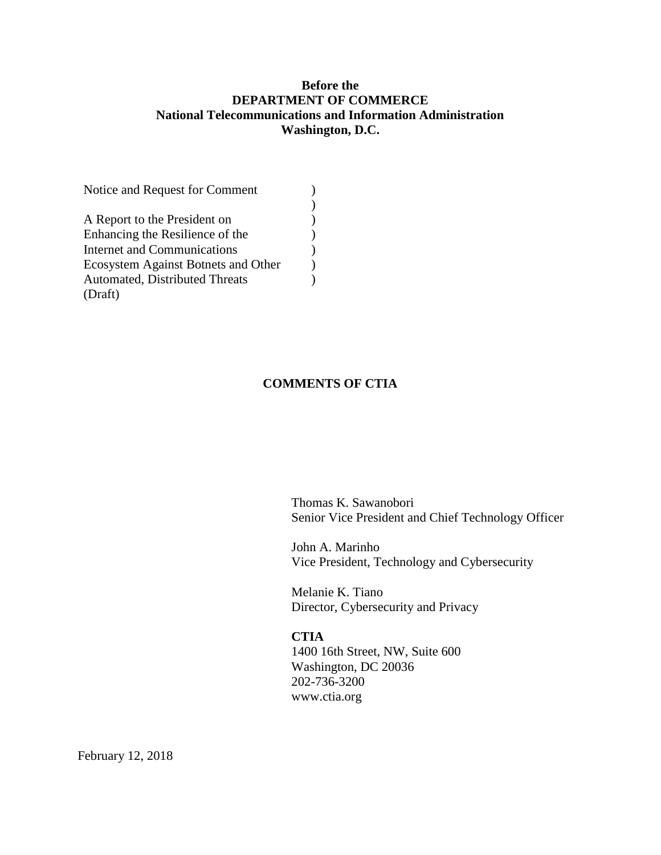### **Before the DEPARTMENT OF COMMERCE National Telecommunications and Information Administration Washington, D.C.**

| A Report to the President on          |  |  |
|---------------------------------------|--|--|
| Enhancing the Resilience of the       |  |  |
| <b>Internet and Communications</b>    |  |  |
| Ecosystem Against Botnets and Other   |  |  |
| <b>Automated, Distributed Threats</b> |  |  |
| (Draft)                               |  |  |

#### **COMMENTS OF CTIA**

Thomas K. Sawanobori Senior Vice President and Chief Technology Officer

John A. Marinho Vice President, Technology and Cybersecurity

Melanie K. Tiano Director, Cybersecurity and Privacy

#### **CTIA**

1400 16th Street, NW, Suite 600 Washington, DC 20036 202-736-3200 www.ctia.org

February 12, 2018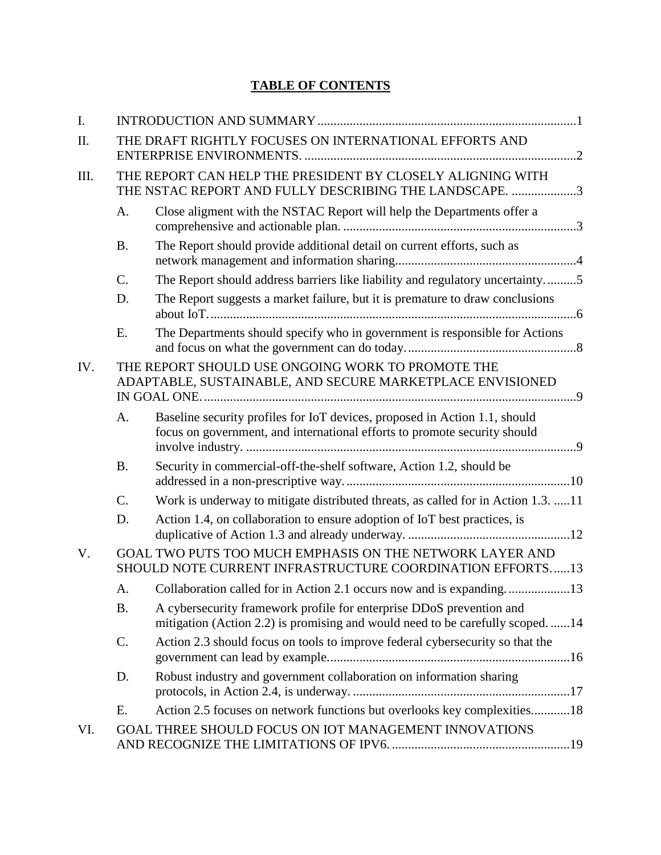# **TABLE OF CONTENTS**

| I.   |                                                                                                                       |                                                                                                                                                         |  |  |  |
|------|-----------------------------------------------------------------------------------------------------------------------|---------------------------------------------------------------------------------------------------------------------------------------------------------|--|--|--|
| II.  | THE DRAFT RIGHTLY FOCUSES ON INTERNATIONAL EFFORTS AND                                                                |                                                                                                                                                         |  |  |  |
| III. | THE REPORT CAN HELP THE PRESIDENT BY CLOSELY ALIGNING WITH<br>THE NSTAC REPORT AND FULLY DESCRIBING THE LANDSCAPE. 3  |                                                                                                                                                         |  |  |  |
|      | A.                                                                                                                    | Close aligment with the NSTAC Report will help the Departments offer a                                                                                  |  |  |  |
|      | <b>B.</b>                                                                                                             | The Report should provide additional detail on current efforts, such as                                                                                 |  |  |  |
|      | C.                                                                                                                    | The Report should address barriers like liability and regulatory uncertainty5                                                                           |  |  |  |
|      | D.                                                                                                                    | The Report suggests a market failure, but it is premature to draw conclusions                                                                           |  |  |  |
|      | E.                                                                                                                    | The Departments should specify who in government is responsible for Actions                                                                             |  |  |  |
| IV.  |                                                                                                                       | THE REPORT SHOULD USE ONGOING WORK TO PROMOTE THE<br>ADAPTABLE, SUSTAINABLE, AND SECURE MARKETPLACE ENVISIONED                                          |  |  |  |
|      | A.                                                                                                                    | Baseline security profiles for IoT devices, proposed in Action 1.1, should<br>focus on government, and international efforts to promote security should |  |  |  |
|      | <b>B.</b>                                                                                                             | Security in commercial-off-the-shelf software, Action 1.2, should be                                                                                    |  |  |  |
|      | C.                                                                                                                    | Work is underway to mitigate distributed threats, as called for in Action 1.3. 11                                                                       |  |  |  |
|      | D.                                                                                                                    | Action 1.4, on collaboration to ensure adoption of IoT best practices, is                                                                               |  |  |  |
| V.   | GOAL TWO PUTS TOO MUCH EMPHASIS ON THE NETWORK LAYER AND<br>SHOULD NOTE CURRENT INFRASTRUCTURE COORDINATION EFFORTS13 |                                                                                                                                                         |  |  |  |
|      | А.                                                                                                                    | Collaboration called for in Action 2.1 occurs now and is expanding13                                                                                    |  |  |  |
|      | <b>B.</b>                                                                                                             | A cybersecurity framework profile for enterprise DDoS prevention and<br>mitigation (Action 2.2) is promising and would need to be carefully scoped14    |  |  |  |
|      | C.                                                                                                                    | Action 2.3 should focus on tools to improve federal cybersecurity so that the                                                                           |  |  |  |
|      | D.                                                                                                                    | Robust industry and government collaboration on information sharing                                                                                     |  |  |  |
|      | Ε.                                                                                                                    | Action 2.5 focuses on network functions but overlooks key complexities18                                                                                |  |  |  |
| VI.  |                                                                                                                       | <b>GOAL THREE SHOULD FOCUS ON IOT MANAGEMENT INNOVATIONS</b>                                                                                            |  |  |  |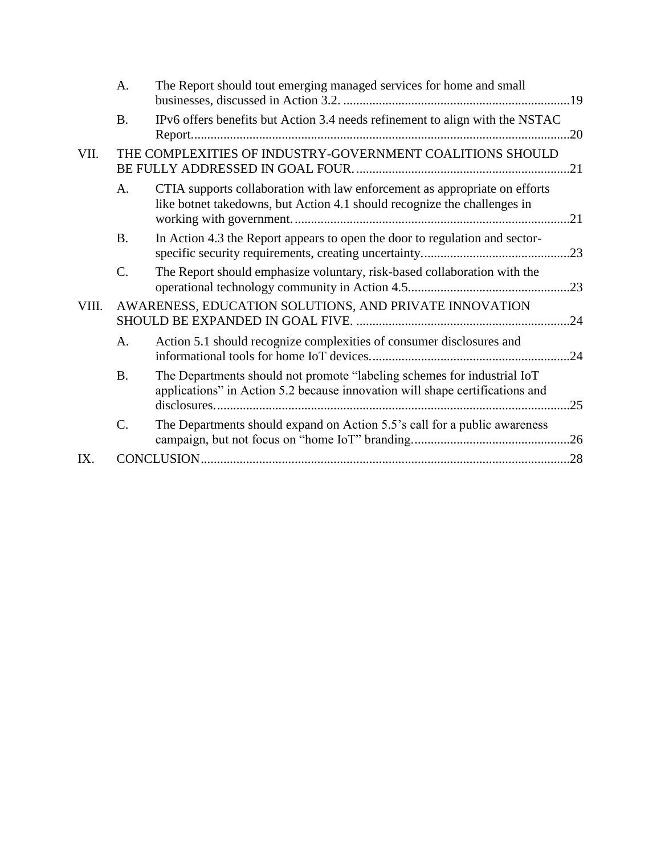|       | A.              | The Report should tout emerging managed services for home and small                                                                                     |     |
|-------|-----------------|---------------------------------------------------------------------------------------------------------------------------------------------------------|-----|
|       | <b>B.</b>       | IPv6 offers benefits but Action 3.4 needs refinement to align with the NSTAC                                                                            | .20 |
| VII.  |                 | THE COMPLEXITIES OF INDUSTRY-GOVERNMENT COALITIONS SHOULD                                                                                               | .21 |
|       | A.              | CTIA supports collaboration with law enforcement as appropriate on efforts<br>like botnet takedowns, but Action 4.1 should recognize the challenges in  | .21 |
|       | <b>B.</b>       | In Action 4.3 the Report appears to open the door to regulation and sector-                                                                             | .23 |
|       | $C$ .           | The Report should emphasize voluntary, risk-based collaboration with the                                                                                | .23 |
| VIII. |                 | AWARENESS, EDUCATION SOLUTIONS, AND PRIVATE INNOVATION                                                                                                  | .24 |
|       | $A_{\cdot}$     | Action 5.1 should recognize complexities of consumer disclosures and                                                                                    |     |
|       | <b>B.</b>       | The Departments should not promote "labeling schemes for industrial IoT<br>applications" in Action 5.2 because innovation will shape certifications and | .25 |
|       | $\mathcal{C}$ . | The Departments should expand on Action 5.5's call for a public awareness                                                                               |     |
| IX.   |                 |                                                                                                                                                         |     |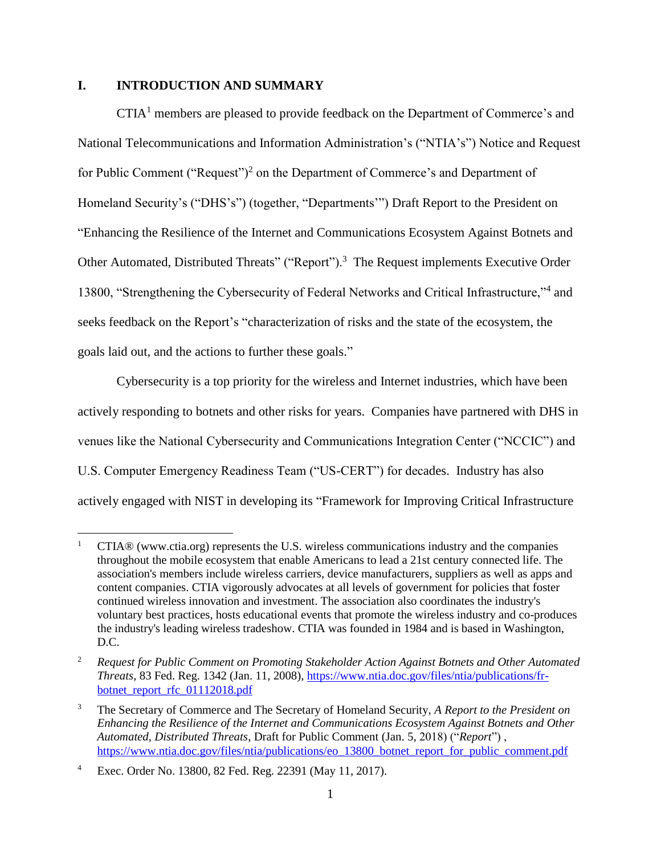#### **I. INTRODUCTION AND SUMMARY**

CTIA<sup>1</sup> members are pleased to provide feedback on the Department of Commerce's and National Telecommunications and Information Administration's ("NTIA's") Notice and Request for Public Comment ("Request")<sup>2</sup> on the Department of Commerce's and Department of Homeland Security's ("DHS's") (together, "Departments'") Draft Report to the President on "Enhancing the Resilience of the Internet and Communications Ecosystem Against Botnets and Other Automated, Distributed Threats" ("Report").<sup>3</sup> The Request implements Executive Order 13800, "Strengthening the Cybersecurity of Federal Networks and Critical Infrastructure,"<sup>4</sup> and seeks feedback on the Report's "characterization of risks and the state of the ecosystem, the goals laid out, and the actions to further these goals."

Cybersecurity is a top priority for the wireless and Internet industries, which have been actively responding to botnets and other risks for years. Companies have partnered with DHS in venues like the National Cybersecurity and Communications Integration Center ("NCCIC") and U.S. Computer Emergency Readiness Team ("US-CERT") for decades. Industry has also actively engaged with NIST in developing its "Framework for Improving Critical Infrastructure

<sup>1</sup> CTIA® (www.ctia.org) represents the U.S. wireless communications industry and the companies throughout the mobile ecosystem that enable Americans to lead a 21st century connected life. The association's members include wireless carriers, device manufacturers, suppliers as well as apps and content companies. CTIA vigorously advocates at all levels of government for policies that foster continued wireless innovation and investment. The association also coordinates the industry's voluntary best practices, hosts educational events that promote the wireless industry and co-produces the industry's leading wireless tradeshow. CTIA was founded in 1984 and is based in Washington, D.C.

<sup>2</sup> *Request for Public Comment on Promoting Stakeholder Action Against Botnets and Other Automated Threats*, 83 Fed. Reg. 1342 (Jan. 11, 2008), [https://www.ntia.doc.gov/files/ntia/publications/fr](https://www.ntia.doc.gov/files/ntia/publications/fr-botnet_report_rfc_01112018.pdf)[botnet\\_report\\_rfc\\_01112018.pdf](https://www.ntia.doc.gov/files/ntia/publications/fr-botnet_report_rfc_01112018.pdf)

<sup>3</sup> The Secretary of Commerce and The Secretary of Homeland Security, *A Report to the President on Enhancing the Resilience of the Internet and Communications Ecosystem Against Botnets and Other Automated, Distributed Threats*, Draft for Public Comment (Jan. 5, 2018) ("*Report*") , [https://www.ntia.doc.gov/files/ntia/publications/eo\\_13800\\_botnet\\_report\\_for\\_public\\_comment.pdf](https://www.ntia.doc.gov/files/ntia/publications/eo_13800_botnet_report_for_public_comment.pdf)

<sup>4</sup> Exec. Order No. 13800, 82 Fed. Reg. 22391 (May 11, 2017).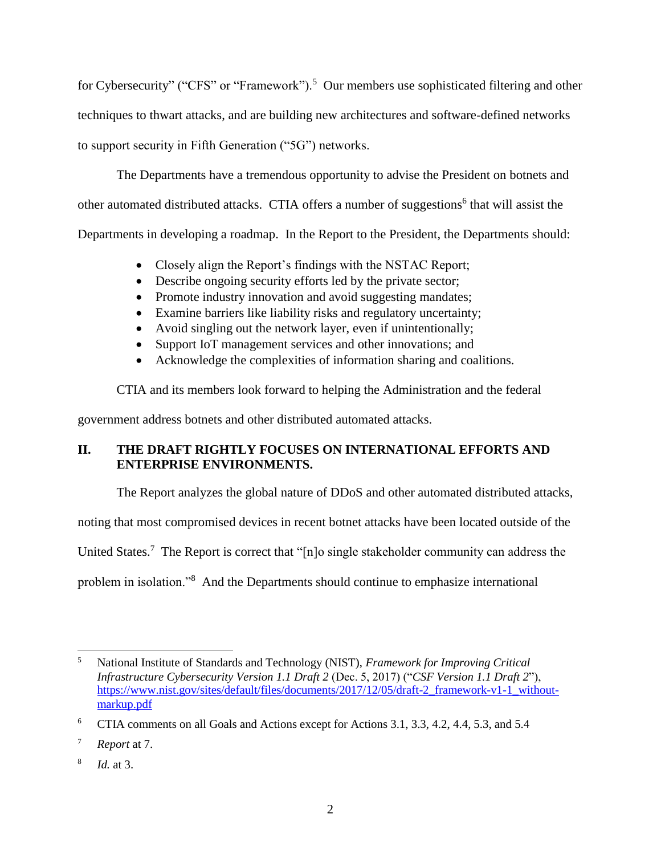for Cybersecurity" ("CFS" or "Framework").<sup>5</sup> Our members use sophisticated filtering and other techniques to thwart attacks, and are building new architectures and software-defined networks to support security in Fifth Generation ("5G") networks.

The Departments have a tremendous opportunity to advise the President on botnets and other automated distributed attacks. CTIA offers a number of suggestions<sup>6</sup> that will assist the Departments in developing a roadmap. In the Report to the President, the Departments should:

- Closely align the Report's findings with the NSTAC Report;
- Describe ongoing security efforts led by the private sector;
- Promote industry innovation and avoid suggesting mandates;
- Examine barriers like liability risks and regulatory uncertainty;
- Avoid singling out the network layer, even if unintentionally;
- Support IoT management services and other innovations; and
- Acknowledge the complexities of information sharing and coalitions.

CTIA and its members look forward to helping the Administration and the federal

government address botnets and other distributed automated attacks.

# **II. THE DRAFT RIGHTLY FOCUSES ON INTERNATIONAL EFFORTS AND ENTERPRISE ENVIRONMENTS.**

The Report analyzes the global nature of DDoS and other automated distributed attacks,

noting that most compromised devices in recent botnet attacks have been located outside of the

United States.<sup>7</sup> The Report is correct that "[n]o single stakeholder community can address the

problem in isolation."<sup>8</sup> And the Departments should continue to emphasize international

 $\overline{a}$ <sup>5</sup> National Institute of Standards and Technology (NIST), *Framework for Improving Critical Infrastructure Cybersecurity Version 1.1 Draft 2* (Dec. 5, 2017) ("*CSF Version 1.1 Draft 2*"), [https://www.nist.gov/sites/default/files/documents/2017/12/05/draft-2\\_framework-v1-1\\_without](https://www.nist.gov/sites/default/files/documents/2017/12/05/draft-2_framework-v1-1_without-markup.pdf)[markup.pdf](https://www.nist.gov/sites/default/files/documents/2017/12/05/draft-2_framework-v1-1_without-markup.pdf)

<sup>6</sup> CTIA comments on all Goals and Actions except for Actions 3.1, 3.3, 4.2, 4.4, 5.3, and 5.4

<sup>7</sup> *Report* at 7.

<sup>8</sup> *Id.* at 3.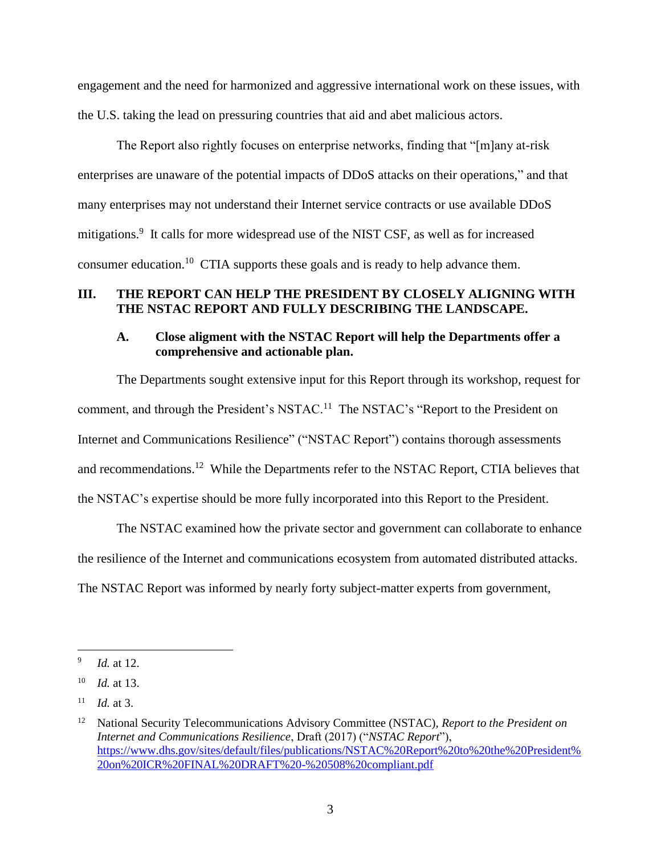engagement and the need for harmonized and aggressive international work on these issues, with the U.S. taking the lead on pressuring countries that aid and abet malicious actors.

The Report also rightly focuses on enterprise networks, finding that "[m]any at-risk enterprises are unaware of the potential impacts of DDoS attacks on their operations," and that many enterprises may not understand their Internet service contracts or use available DDoS mitigations.<sup>9</sup> It calls for more widespread use of the NIST CSF, as well as for increased consumer education.<sup>10</sup> CTIA supports these goals and is ready to help advance them.

#### **III. THE REPORT CAN HELP THE PRESIDENT BY CLOSELY ALIGNING WITH THE NSTAC REPORT AND FULLY DESCRIBING THE LANDSCAPE.**

#### **A. Close aligment with the NSTAC Report will help the Departments offer a comprehensive and actionable plan.**

The Departments sought extensive input for this Report through its workshop, request for comment, and through the President's NSTAC.<sup>11</sup> The NSTAC's "Report to the President on Internet and Communications Resilience" ("NSTAC Report") contains thorough assessments and recommendations.<sup>12</sup> While the Departments refer to the NSTAC Report, CTIA believes that the NSTAC's expertise should be more fully incorporated into this Report to the President.

The NSTAC examined how the private sector and government can collaborate to enhance the resilience of the Internet and communications ecosystem from automated distributed attacks. The NSTAC Report was informed by nearly forty subject-matter experts from government,

<sup>9</sup> *Id.* at 12.

<sup>10</sup> *Id.* at 13.

*Id.* at 3.

<sup>12</sup> National Security Telecommunications Advisory Committee (NSTAC), *Report to the President on Internet and Communications Resilience*, Draft (2017) ("*NSTAC Report*"), [https://www.dhs.gov/sites/default/files/publications/NSTAC%20Report%20to%20the%20President%](https://www.dhs.gov/sites/default/files/publications/NSTAC%20Report%20to%20the%20President%20on%20ICR%20FINAL%20DRAFT%20-%20508%20compliant.pdf) [20on%20ICR%20FINAL%20DRAFT%20-%20508%20compliant.pdf](https://www.dhs.gov/sites/default/files/publications/NSTAC%20Report%20to%20the%20President%20on%20ICR%20FINAL%20DRAFT%20-%20508%20compliant.pdf)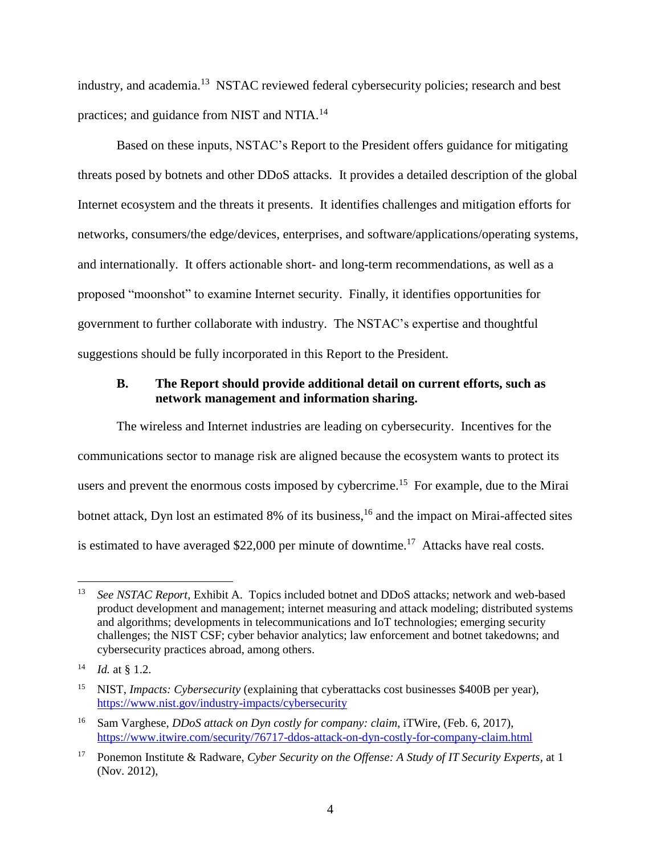industry, and academia.<sup>13</sup> NSTAC reviewed federal cybersecurity policies; research and best practices; and guidance from NIST and NTIA.<sup>14</sup>

Based on these inputs, NSTAC's Report to the President offers guidance for mitigating threats posed by botnets and other DDoS attacks. It provides a detailed description of the global Internet ecosystem and the threats it presents. It identifies challenges and mitigation efforts for networks, consumers/the edge/devices, enterprises, and software/applications/operating systems, and internationally. It offers actionable short- and long-term recommendations, as well as a proposed "moonshot" to examine Internet security. Finally, it identifies opportunities for government to further collaborate with industry. The NSTAC's expertise and thoughtful suggestions should be fully incorporated in this Report to the President.

#### **B. The Report should provide additional detail on current efforts, such as network management and information sharing.**

The wireless and Internet industries are leading on cybersecurity. Incentives for the communications sector to manage risk are aligned because the ecosystem wants to protect its users and prevent the enormous costs imposed by cybercrime.<sup>15</sup> For example, due to the Mirai botnet attack, Dyn lost an estimated 8% of its business,<sup>16</sup> and the impact on Mirai-affected sites is estimated to have averaged \$22,000 per minute of downtime.<sup>17</sup> Attacks have real costs.

<sup>&</sup>lt;sup>13</sup> *See NSTAC Report*, Exhibit A. Topics included botnet and DDoS attacks; network and web-based product development and management; internet measuring and attack modeling; distributed systems and algorithms; developments in telecommunications and IoT technologies; emerging security challenges; the NIST CSF; cyber behavior analytics; law enforcement and botnet takedowns; and cybersecurity practices abroad, among others.

<sup>14</sup> *Id.* at § 1.2.

<sup>15</sup> NIST, *Impacts: Cybersecurity* (explaining that cyberattacks cost businesses \$400B per year), <https://www.nist.gov/industry-impacts/cybersecurity>

<sup>16</sup> Sam Varghese, *DDoS attack on Dyn costly for company: claim*, iTWire, (Feb. 6, 2017), <https://www.itwire.com/security/76717-ddos-attack-on-dyn-costly-for-company-claim.html>

<sup>17</sup> Ponemon Institute & Radware, *Cyber Security on the Offense: A Study of IT Security Experts*, at 1 (Nov. 2012),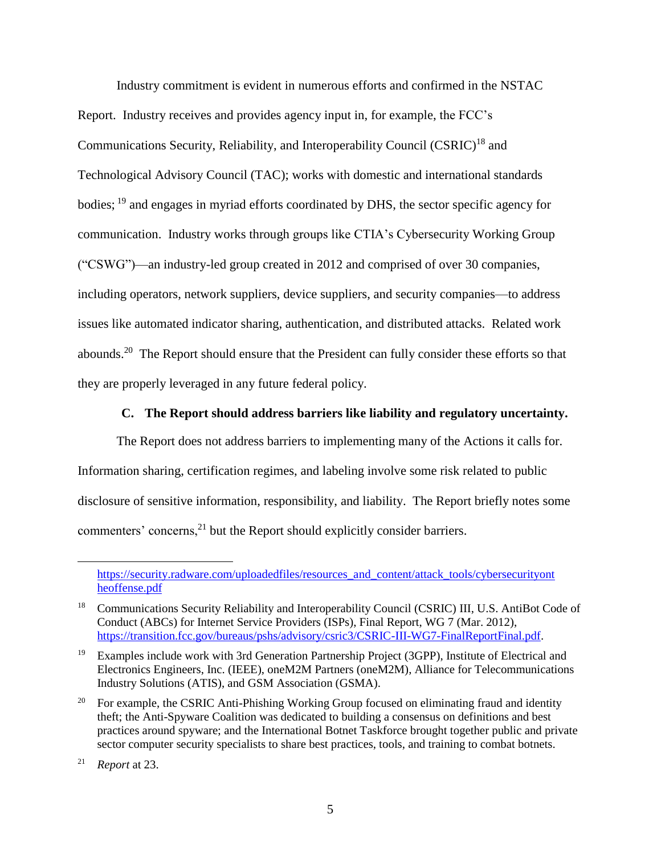Industry commitment is evident in numerous efforts and confirmed in the NSTAC Report. Industry receives and provides agency input in, for example, the FCC's Communications Security, Reliability, and Interoperability Council (CSRIC)<sup>18</sup> and Technological Advisory Council (TAC); works with domestic and international standards bodies; <sup>19</sup> and engages in myriad efforts coordinated by DHS, the sector specific agency for communication. Industry works through groups like CTIA's Cybersecurity Working Group ("CSWG")—an industry-led group created in 2012 and comprised of over 30 companies, including operators, network suppliers, device suppliers, and security companies—to address issues like automated indicator sharing, authentication, and distributed attacks. Related work abounds.<sup>20</sup> The Report should ensure that the President can fully consider these efforts so that they are properly leveraged in any future federal policy.

#### **C. The Report should address barriers like liability and regulatory uncertainty.**

The Report does not address barriers to implementing many of the Actions it calls for. Information sharing, certification regimes, and labeling involve some risk related to public disclosure of sensitive information, responsibility, and liability. The Report briefly notes some commenters' concerns,<sup>21</sup> but the Report should explicitly consider barriers.

https://security.radware.com/uploadedfiles/resources\_and\_content/attack\_tools/cybersecurityont [heoffense.pdf](https://security.radware.com/uploadedfiles/resources_and_content/attack_tools/cybersecurityont%20heoffense.pdf)

<sup>&</sup>lt;sup>18</sup> Communications Security Reliability and Interoperability Council (CSRIC) III, U.S. AntiBot Code of Conduct (ABCs) for Internet Service Providers (ISPs), Final Report, WG 7 (Mar. 2012), [https://transition.fcc.gov/bureaus/pshs/advisory/csric3/CSRIC-III-WG7-FinalReportFinal.pdf.](https://transition.fcc.gov/bureaus/pshs/advisory/csric3/CSRIC-III-WG7-FinalReportFinal.pdf)

<sup>&</sup>lt;sup>19</sup> Examples include work with 3rd Generation Partnership Project (3GPP), Institute of Electrical and Electronics Engineers, Inc. (IEEE), oneM2M Partners (oneM2M), Alliance for Telecommunications Industry Solutions (ATIS), and GSM Association (GSMA).

<sup>&</sup>lt;sup>20</sup> For example, the CSRIC Anti-Phishing Working Group focused on eliminating fraud and identity theft; the Anti-Spyware Coalition was dedicated to building a consensus on definitions and best practices around spyware; and the International Botnet Taskforce brought together public and private sector computer security specialists to share best practices, tools, and training to combat botnets.

<sup>21</sup> *Report* at 23.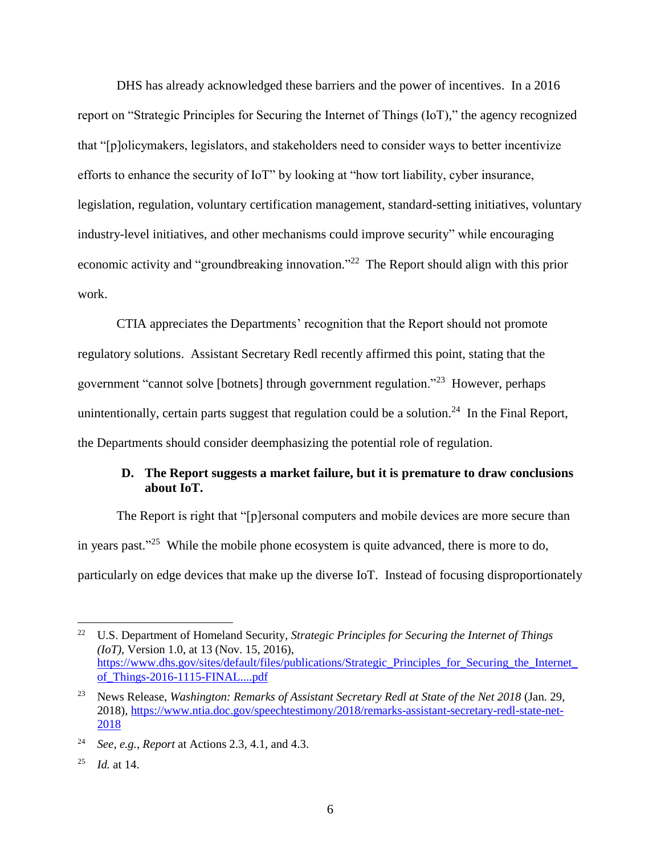DHS has already acknowledged these barriers and the power of incentives. In a 2016 report on "Strategic Principles for Securing the Internet of Things (IoT)," the agency recognized that "[p]olicymakers, legislators, and stakeholders need to consider ways to better incentivize efforts to enhance the security of IoT" by looking at "how tort liability, cyber insurance, legislation, regulation, voluntary certification management, standard-setting initiatives, voluntary industry-level initiatives, and other mechanisms could improve security" while encouraging economic activity and "groundbreaking innovation."<sup>22</sup> The Report should align with this prior work.

CTIA appreciates the Departments' recognition that the Report should not promote regulatory solutions. Assistant Secretary Redl recently affirmed this point, stating that the government "cannot solve [botnets] through government regulation."<sup>23</sup> However, perhaps unintentionally, certain parts suggest that regulation could be a solution.<sup>24</sup> In the Final Report, the Departments should consider deemphasizing the potential role of regulation.

### **D. The Report suggests a market failure, but it is premature to draw conclusions about IoT.**

The Report is right that "[p]ersonal computers and mobile devices are more secure than in years past."<sup>25</sup> While the mobile phone ecosystem is quite advanced, there is more to do, particularly on edge devices that make up the diverse IoT. Instead of focusing disproportionately

<sup>25</sup> *Id.* at 14.

<sup>&</sup>lt;sup>22</sup> U.S. Department of Homeland Security, *Strategic Principles for Securing the Internet of Things (IoT)*, Version 1.0, at 13 (Nov. 15, 2016), [https://www.dhs.gov/sites/default/files/publications/Strategic\\_Principles\\_for\\_Securing\\_the\\_Internet\\_](https://www.dhs.gov/sites/default/files/publications/Strategic_Principles_for_Securing_the_Internet_of_Things-2016-1115-FINAL....pdf) [of\\_Things-2016-1115-FINAL....pdf](https://www.dhs.gov/sites/default/files/publications/Strategic_Principles_for_Securing_the_Internet_of_Things-2016-1115-FINAL....pdf)

<sup>23</sup> News Release, *Washington: Remarks of Assistant Secretary Redl at State of the Net 2018* (Jan. 29, 2018), [https://www.ntia.doc.gov/speechtestimony/2018/remarks-assistant-secretary-redl-state-net-](https://www.ntia.doc.gov/speechtestimony/2018/remarks-assistant-secretary-redl-state-net-2018)[2018](https://www.ntia.doc.gov/speechtestimony/2018/remarks-assistant-secretary-redl-state-net-2018)

<sup>24</sup> *See, e.g.*, *Report* at Actions 2.3, 4.1, and 4.3.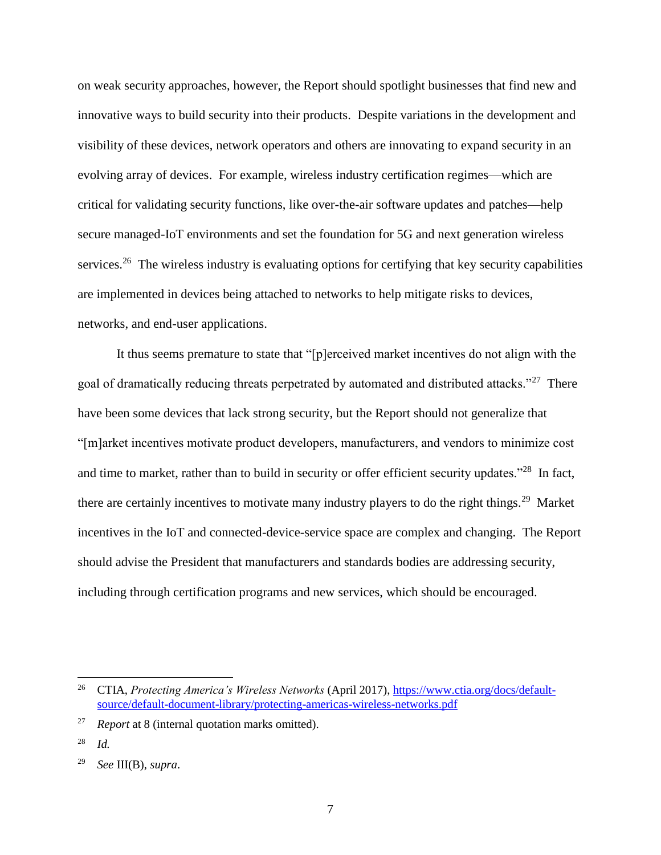on weak security approaches, however, the Report should spotlight businesses that find new and innovative ways to build security into their products. Despite variations in the development and visibility of these devices, network operators and others are innovating to expand security in an evolving array of devices. For example, wireless industry certification regimes—which are critical for validating security functions, like over-the-air software updates and patches—help secure managed-IoT environments and set the foundation for 5G and next generation wireless services.<sup>26</sup> The wireless industry is evaluating options for certifying that key security capabilities are implemented in devices being attached to networks to help mitigate risks to devices, networks, and end-user applications.

It thus seems premature to state that "[p]erceived market incentives do not align with the goal of dramatically reducing threats perpetrated by automated and distributed attacks."<sup>27</sup> There have been some devices that lack strong security, but the Report should not generalize that "[m]arket incentives motivate product developers, manufacturers, and vendors to minimize cost and time to market, rather than to build in security or offer efficient security updates."<sup>28</sup> In fact, there are certainly incentives to motivate many industry players to do the right things.<sup>29</sup> Market incentives in the IoT and connected-device-service space are complex and changing. The Report should advise the President that manufacturers and standards bodies are addressing security, including through certification programs and new services, which should be encouraged.

<sup>26</sup> CTIA, *Protecting America's Wireless Networks* (April 2017), [https://www.ctia.org/docs/default](https://www.ctia.org/docs/default-source/default-document-library/protecting-americas-wireless-networks.pdf)[source/default-document-library/protecting-americas-wireless-networks.pdf](https://www.ctia.org/docs/default-source/default-document-library/protecting-americas-wireless-networks.pdf)

<sup>27</sup> *Report* at 8 (internal quotation marks omitted).

<sup>28</sup> *Id.*

<sup>29</sup> *See* III(B), *supra*.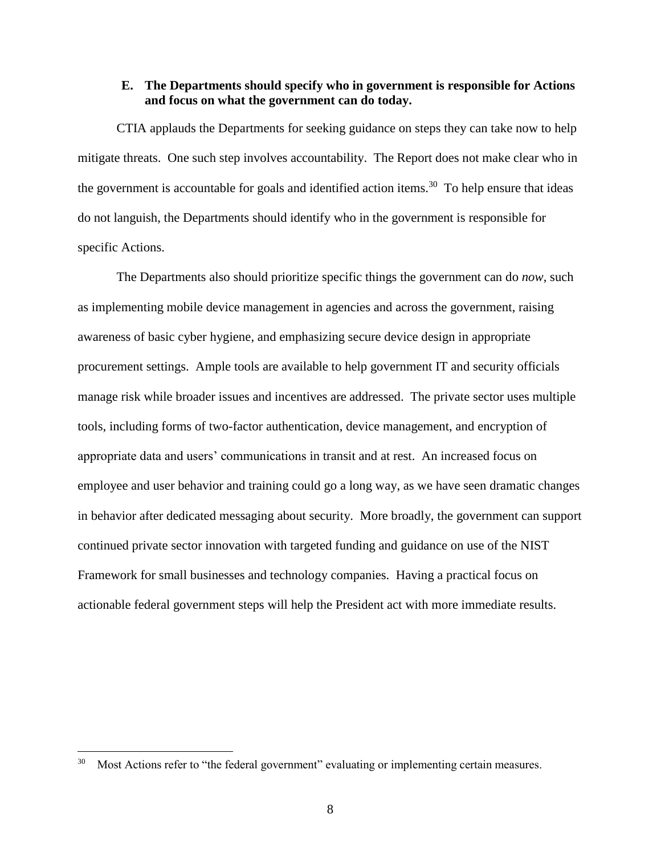#### **E. The Departments should specify who in government is responsible for Actions and focus on what the government can do today.**

CTIA applauds the Departments for seeking guidance on steps they can take now to help mitigate threats. One such step involves accountability. The Report does not make clear who in the government is accountable for goals and identified action items.<sup>30</sup> To help ensure that ideas do not languish, the Departments should identify who in the government is responsible for specific Actions.

The Departments also should prioritize specific things the government can do *now*, such as implementing mobile device management in agencies and across the government, raising awareness of basic cyber hygiene, and emphasizing secure device design in appropriate procurement settings. Ample tools are available to help government IT and security officials manage risk while broader issues and incentives are addressed. The private sector uses multiple tools, including forms of two-factor authentication, device management, and encryption of appropriate data and users' communications in transit and at rest. An increased focus on employee and user behavior and training could go a long way, as we have seen dramatic changes in behavior after dedicated messaging about security. More broadly, the government can support continued private sector innovation with targeted funding and guidance on use of the NIST Framework for small businesses and technology companies. Having a practical focus on actionable federal government steps will help the President act with more immediate results.

<sup>&</sup>lt;sup>30</sup> Most Actions refer to "the federal government" evaluating or implementing certain measures.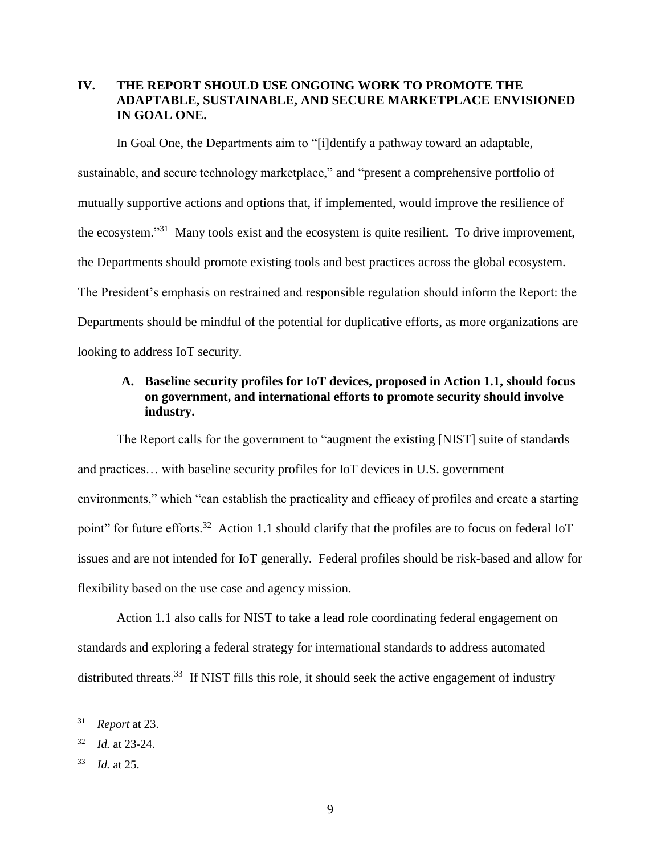## **IV. THE REPORT SHOULD USE ONGOING WORK TO PROMOTE THE ADAPTABLE, SUSTAINABLE, AND SECURE MARKETPLACE ENVISIONED IN GOAL ONE.**

In Goal One, the Departments aim to "[i]dentify a pathway toward an adaptable, sustainable, and secure technology marketplace," and "present a comprehensive portfolio of mutually supportive actions and options that, if implemented, would improve the resilience of the ecosystem."<sup>31</sup> Many tools exist and the ecosystem is quite resilient. To drive improvement, the Departments should promote existing tools and best practices across the global ecosystem. The President's emphasis on restrained and responsible regulation should inform the Report: the Departments should be mindful of the potential for duplicative efforts, as more organizations are looking to address IoT security.

## **A. Baseline security profiles for IoT devices, proposed in Action 1.1, should focus on government, and international efforts to promote security should involve industry.**

The Report calls for the government to "augment the existing [NIST] suite of standards and practices… with baseline security profiles for IoT devices in U.S. government environments," which "can establish the practicality and efficacy of profiles and create a starting point" for future efforts.<sup>32</sup> Action 1.1 should clarify that the profiles are to focus on federal IoT issues and are not intended for IoT generally. Federal profiles should be risk-based and allow for flexibility based on the use case and agency mission.

Action 1.1 also calls for NIST to take a lead role coordinating federal engagement on standards and exploring a federal strategy for international standards to address automated distributed threats.<sup>33</sup> If NIST fills this role, it should seek the active engagement of industry

<sup>31</sup> *Report* at 23.

<sup>32</sup> *Id.* at 23-24.

<sup>33</sup> *Id.* at 25.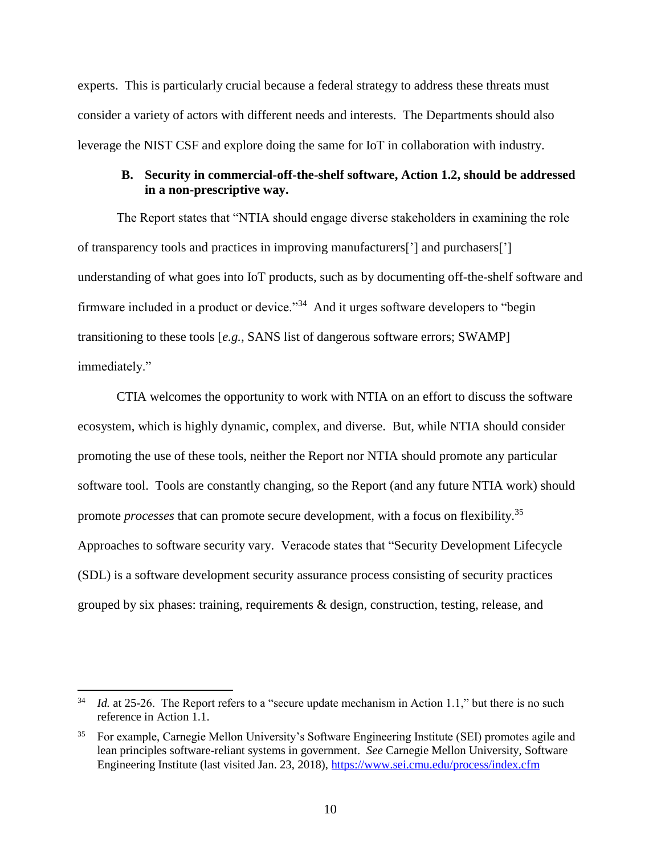experts. This is particularly crucial because a federal strategy to address these threats must consider a variety of actors with different needs and interests. The Departments should also leverage the NIST CSF and explore doing the same for IoT in collaboration with industry.

### **B. Security in commercial-off-the-shelf software, Action 1.2, should be addressed in a non-prescriptive way.**

The Report states that "NTIA should engage diverse stakeholders in examining the role of transparency tools and practices in improving manufacturers['] and purchasers['] understanding of what goes into IoT products, such as by documenting off-the-shelf software and firmware included in a product or device."<sup>34</sup> And it urges software developers to "begin transitioning to these tools [*e.g.*, SANS list of dangerous software errors; SWAMP] immediately."

CTIA welcomes the opportunity to work with NTIA on an effort to discuss the software ecosystem, which is highly dynamic, complex, and diverse. But, while NTIA should consider promoting the use of these tools, neither the Report nor NTIA should promote any particular software tool. Tools are constantly changing, so the Report (and any future NTIA work) should promote *processes* that can promote secure development, with a focus on flexibility.<sup>35</sup> Approaches to software security vary. Veracode states that "Security Development Lifecycle (SDL) is a software development security assurance process consisting of security practices grouped by six phases: training, requirements & design, construction, testing, release, and

<sup>&</sup>lt;sup>34</sup> *Id.* at 25-26. The Report refers to a "secure update mechanism in Action 1.1," but there is no such reference in Action 1.1.

<sup>35</sup> For example, Carnegie Mellon University's Software Engineering Institute (SEI) promotes agile and lean principles software-reliant systems in government. *See* Carnegie Mellon University, Software Engineering Institute (last visited Jan. 23, 2018),<https://www.sei.cmu.edu/process/index.cfm>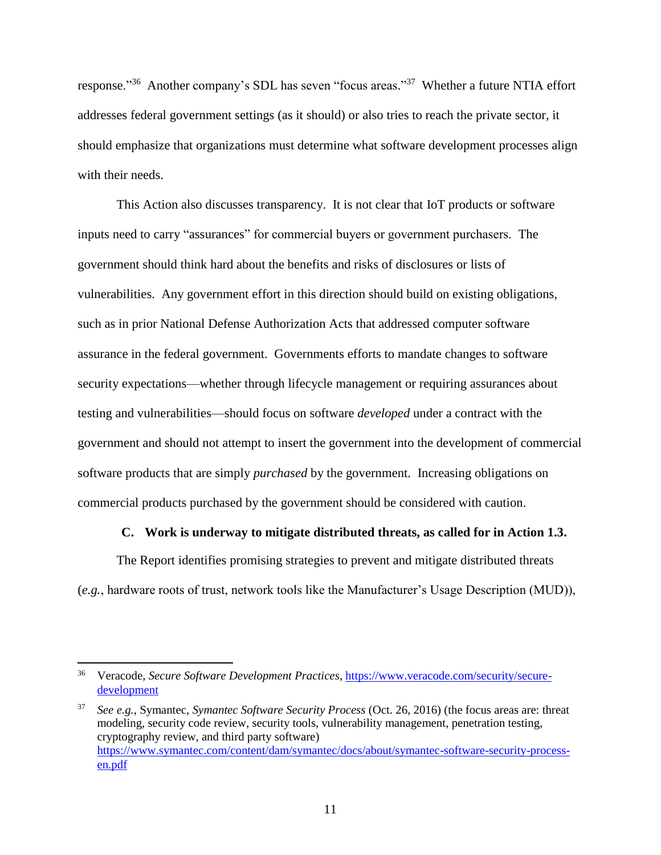response."<sup>36</sup> Another company's SDL has seven "focus areas."<sup>37</sup> Whether a future NTIA effort addresses federal government settings (as it should) or also tries to reach the private sector, it should emphasize that organizations must determine what software development processes align with their needs.

This Action also discusses transparency. It is not clear that IoT products or software inputs need to carry "assurances" for commercial buyers or government purchasers. The government should think hard about the benefits and risks of disclosures or lists of vulnerabilities. Any government effort in this direction should build on existing obligations, such as in prior National Defense Authorization Acts that addressed computer software assurance in the federal government. Governments efforts to mandate changes to software security expectations—whether through lifecycle management or requiring assurances about testing and vulnerabilities—should focus on software *developed* under a contract with the government and should not attempt to insert the government into the development of commercial software products that are simply *purchased* by the government. Increasing obligations on commercial products purchased by the government should be considered with caution.

#### **C. Work is underway to mitigate distributed threats, as called for in Action 1.3.**

The Report identifies promising strategies to prevent and mitigate distributed threats (*e.g.*, hardware roots of trust, network tools like the Manufacturer's Usage Description (MUD)),

 36 Veracode, *Secure Software Development Practices*, [https://www.veracode.com/security/secure](https://www.veracode.com/security/secure-development)[development](https://www.veracode.com/security/secure-development)

<sup>37</sup> *See e.g.*, Symantec, *Symantec Software Security Process* (Oct. 26, 2016) (the focus areas are: threat modeling, security code review, security tools, vulnerability management, penetration testing, cryptography review, and third party software) [https://www.symantec.com/content/dam/symantec/docs/about/symantec-software-security-process](https://www.symantec.com/content/dam/symantec/docs/about/symantec-software-security-process-en.pdf)[en.pdf](https://www.symantec.com/content/dam/symantec/docs/about/symantec-software-security-process-en.pdf)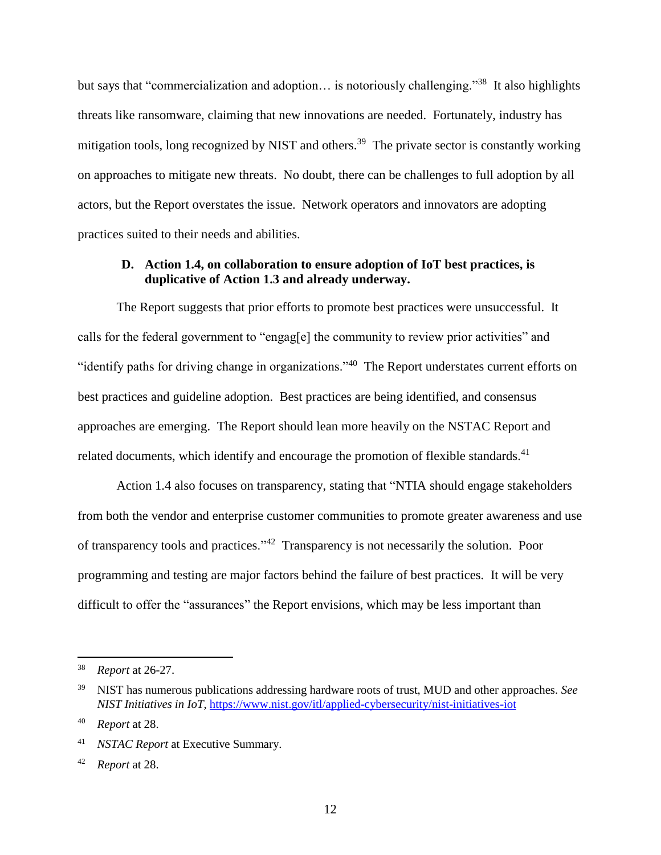but says that "commercialization and adoption... is notoriously challenging."<sup>38</sup> It also highlights threats like ransomware, claiming that new innovations are needed. Fortunately, industry has mitigation tools, long recognized by NIST and others.<sup>39</sup> The private sector is constantly working on approaches to mitigate new threats. No doubt, there can be challenges to full adoption by all actors, but the Report overstates the issue. Network operators and innovators are adopting practices suited to their needs and abilities.

#### **D. Action 1.4, on collaboration to ensure adoption of IoT best practices, is duplicative of Action 1.3 and already underway.**

The Report suggests that prior efforts to promote best practices were unsuccessful. It calls for the federal government to "engag[e] the community to review prior activities" and "identify paths for driving change in organizations."<sup>40</sup> The Report understates current efforts on best practices and guideline adoption. Best practices are being identified, and consensus approaches are emerging. The Report should lean more heavily on the NSTAC Report and related documents, which identify and encourage the promotion of flexible standards.<sup>41</sup>

Action 1.4 also focuses on transparency, stating that "NTIA should engage stakeholders from both the vendor and enterprise customer communities to promote greater awareness and use of transparency tools and practices."<sup>42</sup> Transparency is not necessarily the solution. Poor programming and testing are major factors behind the failure of best practices. It will be very difficult to offer the "assurances" the Report envisions, which may be less important than

<sup>38</sup> *Report* at 26-27.

<sup>39</sup> NIST has numerous publications addressing hardware roots of trust, MUD and other approaches. *See NIST Initiatives in IoT*,<https://www.nist.gov/itl/applied-cybersecurity/nist-initiatives-iot>

<sup>40</sup> *Report* at 28.

<sup>41</sup> *NSTAC Report* at Executive Summary.

<sup>42</sup> *Report* at 28.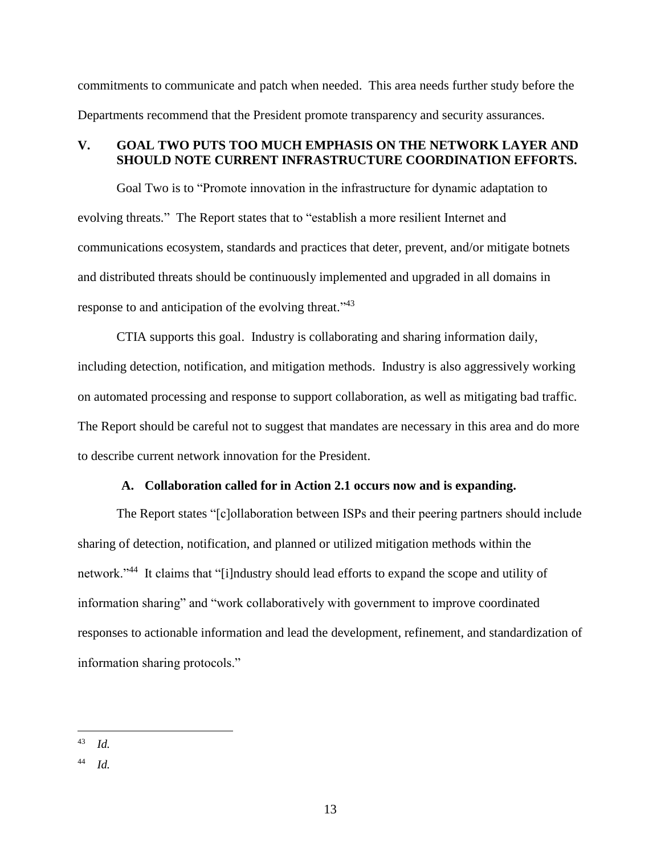commitments to communicate and patch when needed. This area needs further study before the Departments recommend that the President promote transparency and security assurances.

#### **V. GOAL TWO PUTS TOO MUCH EMPHASIS ON THE NETWORK LAYER AND SHOULD NOTE CURRENT INFRASTRUCTURE COORDINATION EFFORTS.**

Goal Two is to "Promote innovation in the infrastructure for dynamic adaptation to evolving threats." The Report states that to "establish a more resilient Internet and communications ecosystem, standards and practices that deter, prevent, and/or mitigate botnets and distributed threats should be continuously implemented and upgraded in all domains in response to and anticipation of the evolving threat."<sup>43</sup>

CTIA supports this goal. Industry is collaborating and sharing information daily, including detection, notification, and mitigation methods. Industry is also aggressively working on automated processing and response to support collaboration, as well as mitigating bad traffic. The Report should be careful not to suggest that mandates are necessary in this area and do more to describe current network innovation for the President.

#### **A. Collaboration called for in Action 2.1 occurs now and is expanding.**

The Report states "[c]ollaboration between ISPs and their peering partners should include sharing of detection, notification, and planned or utilized mitigation methods within the network."<sup>44</sup> It claims that "[i]ndustry should lead efforts to expand the scope and utility of information sharing" and "work collaboratively with government to improve coordinated responses to actionable information and lead the development, refinement, and standardization of information sharing protocols."

<sup>43</sup> *Id.*

<sup>44</sup> *Id.*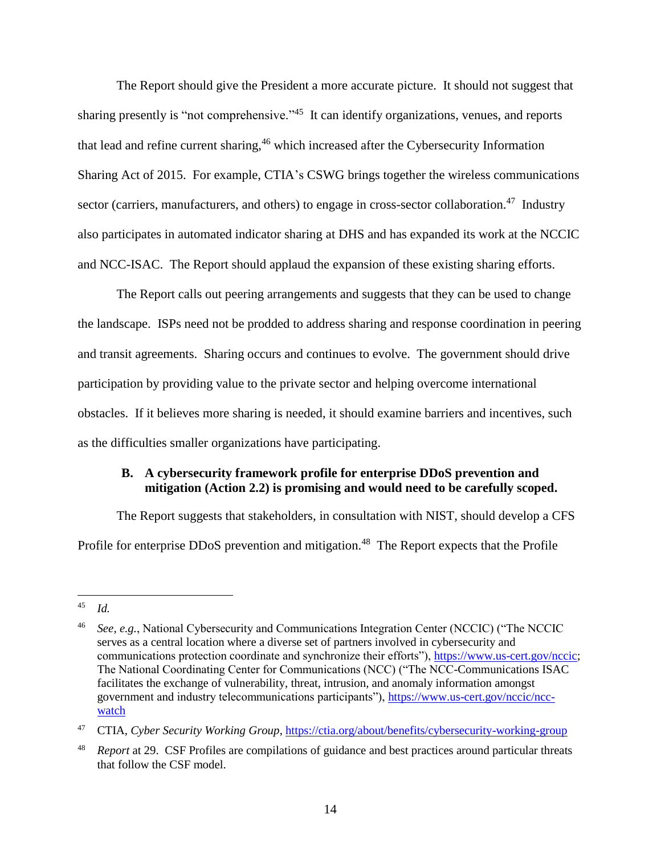The Report should give the President a more accurate picture. It should not suggest that sharing presently is "not comprehensive."<sup>45</sup> It can identify organizations, venues, and reports that lead and refine current sharing,<sup>46</sup> which increased after the Cybersecurity Information Sharing Act of 2015. For example, CTIA's CSWG brings together the wireless communications sector (carriers, manufacturers, and others) to engage in cross-sector collaboration.<sup>47</sup> Industry also participates in automated indicator sharing at DHS and has expanded its work at the NCCIC and NCC-ISAC. The Report should applaud the expansion of these existing sharing efforts.

The Report calls out peering arrangements and suggests that they can be used to change the landscape. ISPs need not be prodded to address sharing and response coordination in peering and transit agreements. Sharing occurs and continues to evolve. The government should drive participation by providing value to the private sector and helping overcome international obstacles. If it believes more sharing is needed, it should examine barriers and incentives, such as the difficulties smaller organizations have participating.

#### **B. A cybersecurity framework profile for enterprise DDoS prevention and mitigation (Action 2.2) is promising and would need to be carefully scoped.**

The Report suggests that stakeholders, in consultation with NIST, should develop a CFS Profile for enterprise DDoS prevention and mitigation.<sup>48</sup> The Report expects that the Profile

 $45\,$ <sup>45</sup> *Id.*

<sup>46</sup> *See, e.g.*, National Cybersecurity and Communications Integration Center (NCCIC) ("The NCCIC serves as a central location where a diverse set of partners involved in cybersecurity and communications protection coordinate and synchronize their efforts"), [https://www.us-cert.gov/nccic;](https://www.us-cert.gov/nccic) The National Coordinating Center for Communications (NCC) ("The NCC-Communications ISAC facilitates the exchange of vulnerability, threat, intrusion, and anomaly information amongst government and industry telecommunications participants"), [https://www.us-cert.gov/nccic/ncc](https://www.us-cert.gov/nccic/ncc-watch)[watch](https://www.us-cert.gov/nccic/ncc-watch)

<sup>47</sup> CTIA, *Cyber Security Working Group*,<https://ctia.org/about/benefits/cybersecurity-working-group>

<sup>48</sup> *Report* at 29. CSF Profiles are compilations of guidance and best practices around particular threats that follow the CSF model.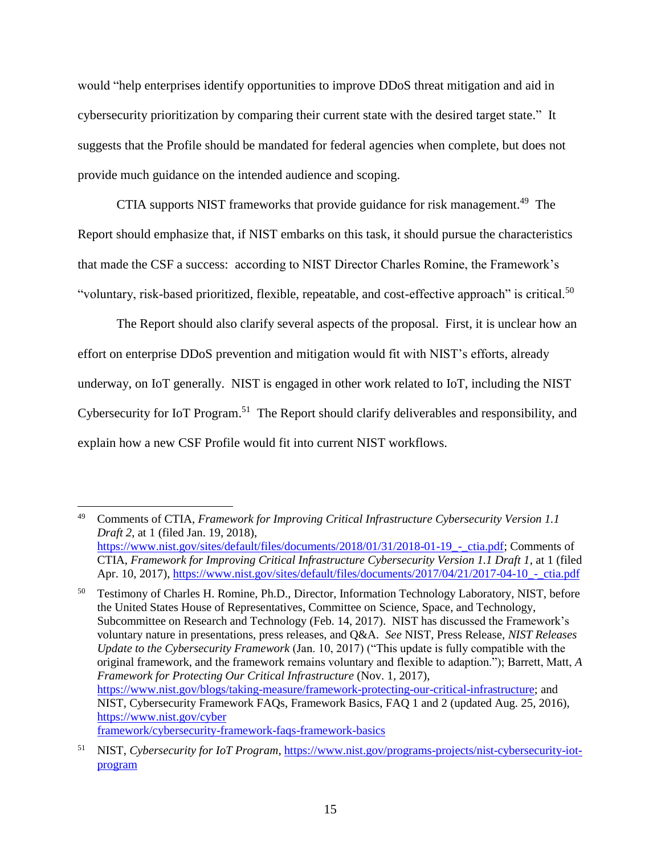would "help enterprises identify opportunities to improve DDoS threat mitigation and aid in cybersecurity prioritization by comparing their current state with the desired target state." It suggests that the Profile should be mandated for federal agencies when complete, but does not provide much guidance on the intended audience and scoping.

CTIA supports NIST frameworks that provide guidance for risk management.<sup>49</sup> The Report should emphasize that, if NIST embarks on this task, it should pursue the characteristics that made the CSF a success: according to NIST Director Charles Romine, the Framework's "voluntary, risk-based prioritized, flexible, repeatable, and cost-effective approach" is critical.<sup>50</sup>

The Report should also clarify several aspects of the proposal. First, it is unclear how an effort on enterprise DDoS prevention and mitigation would fit with NIST's efforts, already underway, on IoT generally. NIST is engaged in other work related to IoT, including the NIST Cybersecurity for IoT Program.<sup>51</sup> The Report should clarify deliverables and responsibility, and explain how a new CSF Profile would fit into current NIST workflows.

 $\overline{a}$ <sup>49</sup> Comments of CTIA, *Framework for Improving Critical Infrastructure Cybersecurity Version 1.1 Draft 2*, at 1 (filed Jan. 19, 2018), https://www.nist.gov/sites/default/files/documents/2018/01/31/2018-01-19 - ctia.pdf; Comments of CTIA, *Framework for Improving Critical Infrastructure Cybersecurity Version 1.1 Draft 1*, at 1 (filed Apr. 10, 2017), https://www.nist.gov/sites/default/files/documents/2017/04/21/2017-04-10<sub>\_-</sub>\_ctia.pdf

<sup>&</sup>lt;sup>50</sup> Testimony of Charles H. Romine, Ph.D., Director, Information Technology Laboratory, NIST, before the United States House of Representatives, Committee on Science, Space, and Technology, Subcommittee on Research and Technology (Feb. 14, 2017). NIST has discussed the Framework's voluntary nature in presentations, press releases, and Q&A. *See* NIST, Press Release, *NIST Releases Update to the Cybersecurity Framework* (Jan. 10, 2017) ("This update is fully compatible with the original framework, and the framework remains voluntary and flexible to adaption."); Barrett, Matt, *A Framework for Protecting Our Critical Infrastructure* (Nov. 1, 2017), [https://www.nist.gov/blogs/taking-measure/framework-protecting-our-critical-infrastructure;](https://www.nist.gov/blogs/taking-measure/framework-protecting-our-critical-infrastructure) and NIST, Cybersecurity Framework FAQs, Framework Basics, FAQ 1 and 2 (updated Aug. 25, 2016), [https://www.nist.gov/cyber](https://www.nist.gov/cyberframework/cybersecurity-framework-faqs-framework-basics) [framework/cybersecurity-framework-faqs-framework-basics](https://www.nist.gov/cyberframework/cybersecurity-framework-faqs-framework-basics)

<sup>51</sup> NIST, *Cybersecurity for IoT Program*, [https://www.nist.gov/programs-projects/nist-cybersecurity-iot](https://www.nist.gov/programs-projects/nist-cybersecurity-iot-program)[program](https://www.nist.gov/programs-projects/nist-cybersecurity-iot-program)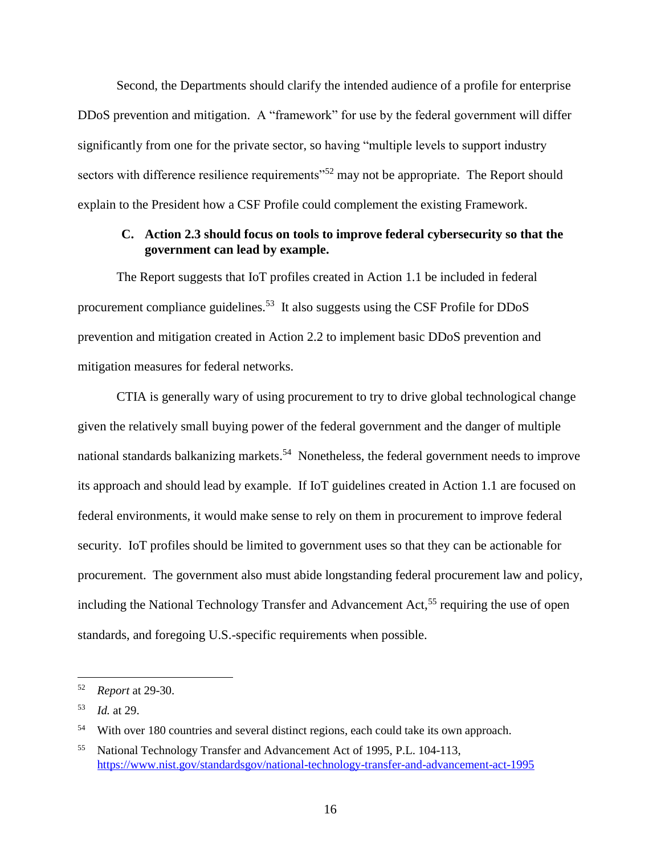Second, the Departments should clarify the intended audience of a profile for enterprise DDoS prevention and mitigation. A "framework" for use by the federal government will differ significantly from one for the private sector, so having "multiple levels to support industry sectors with difference resilience requirements"<sup>52</sup> may not be appropriate. The Report should explain to the President how a CSF Profile could complement the existing Framework.

#### **C. Action 2.3 should focus on tools to improve federal cybersecurity so that the government can lead by example.**

The Report suggests that IoT profiles created in Action 1.1 be included in federal procurement compliance guidelines.<sup>53</sup> It also suggests using the CSF Profile for DDoS prevention and mitigation created in Action 2.2 to implement basic DDoS prevention and mitigation measures for federal networks.

CTIA is generally wary of using procurement to try to drive global technological change given the relatively small buying power of the federal government and the danger of multiple national standards balkanizing markets.<sup>54</sup> Nonetheless, the federal government needs to improve its approach and should lead by example. If IoT guidelines created in Action 1.1 are focused on federal environments, it would make sense to rely on them in procurement to improve federal security. IoT profiles should be limited to government uses so that they can be actionable for procurement. The government also must abide longstanding federal procurement law and policy, including the National Technology Transfer and Advancement Act,<sup>55</sup> requiring the use of open standards, and foregoing U.S.-specific requirements when possible.

<sup>52</sup> *Report* at 29-30.

<sup>53</sup> *Id.* at 29.

<sup>54</sup> With over 180 countries and several distinct regions, each could take its own approach.

<sup>55</sup> National Technology Transfer and Advancement Act of 1995, P.L. 104-113, <https://www.nist.gov/standardsgov/national-technology-transfer-and-advancement-act-1995>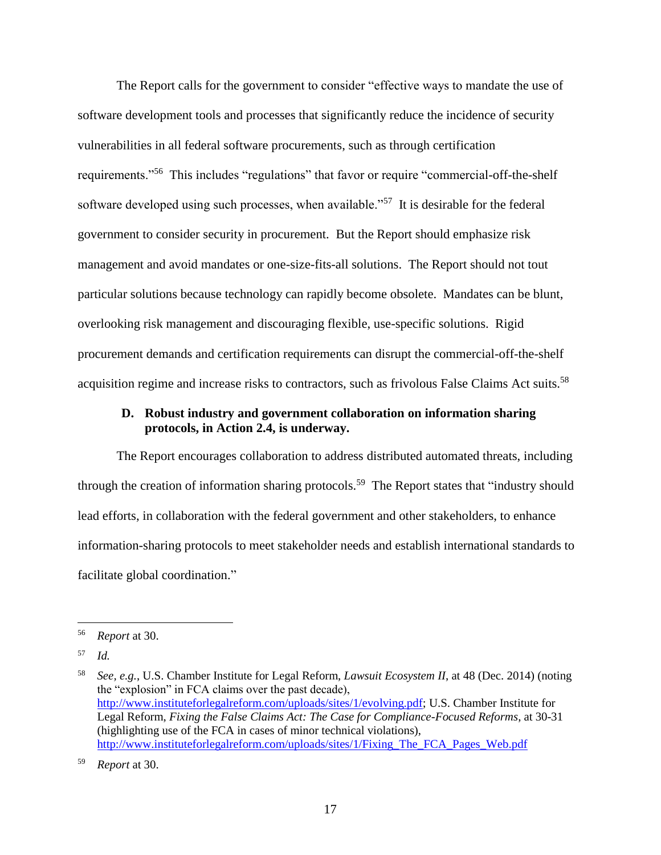The Report calls for the government to consider "effective ways to mandate the use of software development tools and processes that significantly reduce the incidence of security vulnerabilities in all federal software procurements, such as through certification requirements."<sup>56</sup> This includes "regulations" that favor or require "commercial-off-the-shelf software developed using such processes, when available."<sup>57</sup> It is desirable for the federal government to consider security in procurement. But the Report should emphasize risk management and avoid mandates or one-size-fits-all solutions. The Report should not tout particular solutions because technology can rapidly become obsolete. Mandates can be blunt, overlooking risk management and discouraging flexible, use-specific solutions. Rigid procurement demands and certification requirements can disrupt the commercial-off-the-shelf acquisition regime and increase risks to contractors, such as frivolous False Claims Act suits.<sup>58</sup>

#### **D. Robust industry and government collaboration on information sharing protocols, in Action 2.4, is underway.**

The Report encourages collaboration to address distributed automated threats, including through the creation of information sharing protocols.<sup>59</sup> The Report states that "industry should lead efforts, in collaboration with the federal government and other stakeholders, to enhance information-sharing protocols to meet stakeholder needs and establish international standards to facilitate global coordination."

<sup>56</sup> *Report* at 30.

<sup>57</sup> *Id.*

<sup>58</sup> *See, e.g.*, U.S. Chamber Institute for Legal Reform, *Lawsuit Ecosystem II*, at 48 (Dec. 2014) (noting the "explosion" in FCA claims over the past decade), [http://www.instituteforlegalreform.com/uploads/sites/1/evolving.pdf;](http://www.instituteforlegalreform.com/uploads/sites/1/evolving.pdf) U.S. Chamber Institute for Legal Reform, *Fixing the False Claims Act: The Case for Compliance-Focused Reforms*, at 30-31 (highlighting use of the FCA in cases of minor technical violations), [http://www.instituteforlegalreform.com/uploads/sites/1/Fixing\\_The\\_FCA\\_Pages\\_Web.pdf](http://www.instituteforlegalreform.com/uploads/sites/1/Fixing_The_FCA_Pages_Web.pdf)

<sup>59</sup> *Report* at 30.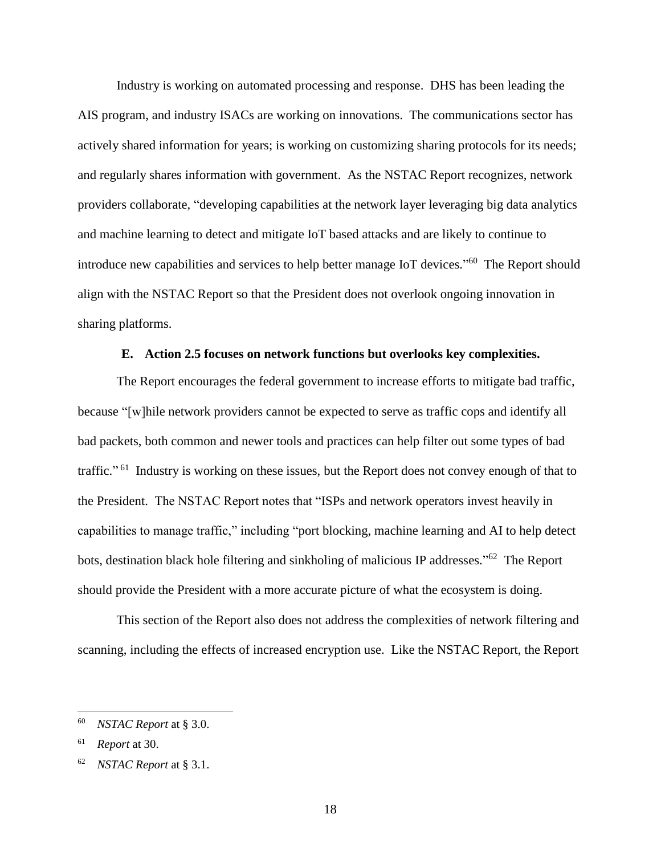Industry is working on automated processing and response. DHS has been leading the AIS program, and industry ISACs are working on innovations. The communications sector has actively shared information for years; is working on customizing sharing protocols for its needs; and regularly shares information with government. As the NSTAC Report recognizes, network providers collaborate, "developing capabilities at the network layer leveraging big data analytics and machine learning to detect and mitigate IoT based attacks and are likely to continue to introduce new capabilities and services to help better manage IoT devices."<sup>60</sup> The Report should align with the NSTAC Report so that the President does not overlook ongoing innovation in sharing platforms.

#### **E. Action 2.5 focuses on network functions but overlooks key complexities.**

The Report encourages the federal government to increase efforts to mitigate bad traffic, because "[w]hile network providers cannot be expected to serve as traffic cops and identify all bad packets, both common and newer tools and practices can help filter out some types of bad traffic."<sup>61</sup> Industry is working on these issues, but the Report does not convey enough of that to the President. The NSTAC Report notes that "ISPs and network operators invest heavily in capabilities to manage traffic," including "port blocking, machine learning and AI to help detect bots, destination black hole filtering and sinkholing of malicious IP addresses."<sup>62</sup> The Report should provide the President with a more accurate picture of what the ecosystem is doing.

This section of the Report also does not address the complexities of network filtering and scanning, including the effects of increased encryption use. Like the NSTAC Report, the Report

<sup>60</sup> *NSTAC Report* at § 3.0.

<sup>61</sup> *Report* at 30.

<sup>62</sup> *NSTAC Report* at § 3.1.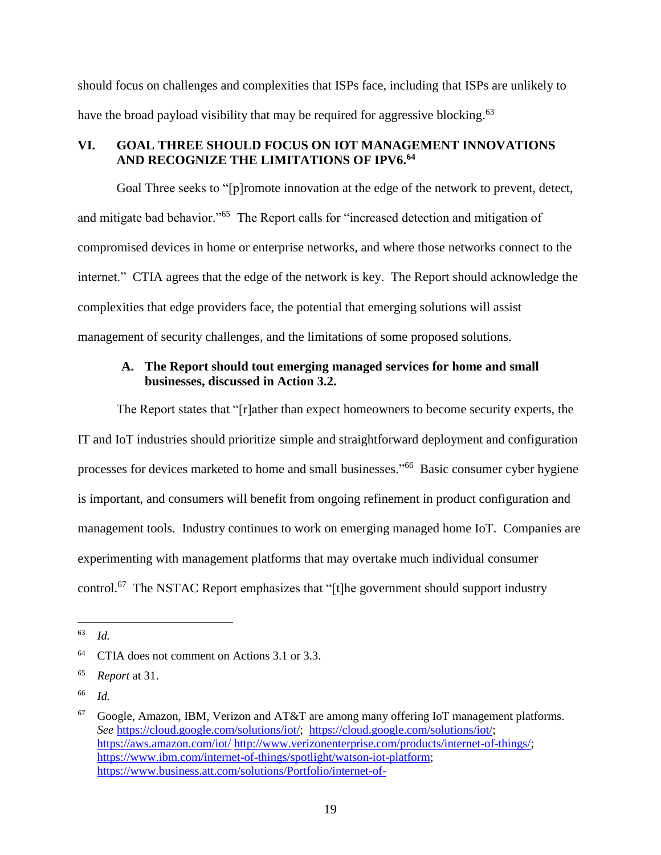should focus on challenges and complexities that ISPs face, including that ISPs are unlikely to have the broad payload visibility that may be required for aggressive blocking.<sup>63</sup>

### **VI. GOAL THREE SHOULD FOCUS ON IOT MANAGEMENT INNOVATIONS AND RECOGNIZE THE LIMITATIONS OF IPV6. 64**

Goal Three seeks to "[p]romote innovation at the edge of the network to prevent, detect, and mitigate bad behavior."<sup>65</sup> The Report calls for "increased detection and mitigation of compromised devices in home or enterprise networks, and where those networks connect to the internet." CTIA agrees that the edge of the network is key. The Report should acknowledge the complexities that edge providers face, the potential that emerging solutions will assist management of security challenges, and the limitations of some proposed solutions.

## **A. The Report should tout emerging managed services for home and small businesses, discussed in Action 3.2.**

The Report states that "[r]ather than expect homeowners to become security experts, the IT and IoT industries should prioritize simple and straightforward deployment and configuration processes for devices marketed to home and small businesses."<sup>66</sup> Basic consumer cyber hygiene is important, and consumers will benefit from ongoing refinement in product configuration and management tools. Industry continues to work on emerging managed home IoT. Companies are experimenting with management platforms that may overtake much individual consumer control.<sup>67</sup> The NSTAC Report emphasizes that "[t]he government should support industry

<sup>63</sup> *Id.*

 $64$  CTIA does not comment on Actions 3.1 or 3.3.

<sup>65</sup> *Report* at 31.

<sup>66</sup> *Id.*

 $67$  Google, Amazon, IBM, Verizon and AT&T are among many offering IoT management platforms. *See* [https://cloud.google.com/solutions/iot/;](https://cloud.google.com/solutions/iot/) [https://cloud.google.com/solutions/iot/;](https://cloud.google.com/solutions/iot/) <https://aws.amazon.com/iot/> [http://www.verizonenterprise.com/products/internet-of-things/;](http://www.verizonenterprise.com/products/internet-of-things/) [https://www.ibm.com/internet-of-things/spotlight/watson-iot-platform;](https://www.ibm.com/internet-of-things/spotlight/watson-iot-platform) [https://www.business.att.com/solutions/Portfolio/internet-of-](https://www.business.att.com/solutions/Portfolio/internet-of-things/?WT.srch=1&source=ECPS0000000PSM00P&wtpdsrchprg=AT%26T%20ABS&wtpdsrchgp=ABS_SEARCH&wtPaidSearchTerm=iot&wtpdsrchpcmt=iot&kid=kwd-391320683&cid=783759108&schParam=1622&LNS=PS_IT_IOT_UNB_1117)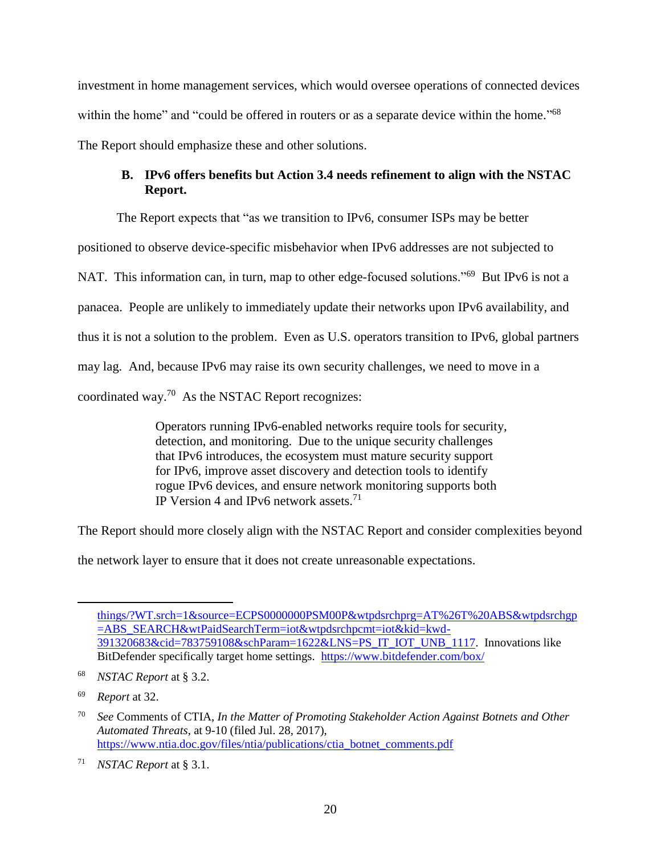investment in home management services, which would oversee operations of connected devices within the home" and "could be offered in routers or as a separate device within the home."<sup>68</sup> The Report should emphasize these and other solutions.

# **B. IPv6 offers benefits but Action 3.4 needs refinement to align with the NSTAC Report.**

The Report expects that "as we transition to IPv6, consumer ISPs may be better positioned to observe device-specific misbehavior when IPv6 addresses are not subjected to NAT. This information can, in turn, map to other edge-focused solutions."<sup>69</sup> But IPv6 is not a panacea. People are unlikely to immediately update their networks upon IPv6 availability, and thus it is not a solution to the problem. Even as U.S. operators transition to IPv6, global partners may lag. And, because IPv6 may raise its own security challenges, we need to move in a coordinated way.<sup>70</sup> As the NSTAC Report recognizes:

> Operators running IPv6-enabled networks require tools for security, detection, and monitoring. Due to the unique security challenges that IPv6 introduces, the ecosystem must mature security support for IPv6, improve asset discovery and detection tools to identify rogue IPv6 devices, and ensure network monitoring supports both IP Version 4 and IPv6 network assets.<sup>71</sup>

The Report should more closely align with the NSTAC Report and consider complexities beyond

the network layer to ensure that it does not create unreasonable expectations.

[things/?WT.srch=1&source=ECPS0000000PSM00P&wtpdsrchprg=AT%26T%20ABS&wtpdsrchgp](https://www.business.att.com/solutions/Portfolio/internet-of-things/?WT.srch=1&source=ECPS0000000PSM00P&wtpdsrchprg=AT%26T%20ABS&wtpdsrchgp=ABS_SEARCH&wtPaidSearchTerm=iot&wtpdsrchpcmt=iot&kid=kwd-391320683&cid=783759108&schParam=1622&LNS=PS_IT_IOT_UNB_1117) [=ABS\\_SEARCH&wtPaidSearchTerm=iot&wtpdsrchpcmt=iot&kid=kwd-](https://www.business.att.com/solutions/Portfolio/internet-of-things/?WT.srch=1&source=ECPS0000000PSM00P&wtpdsrchprg=AT%26T%20ABS&wtpdsrchgp=ABS_SEARCH&wtPaidSearchTerm=iot&wtpdsrchpcmt=iot&kid=kwd-391320683&cid=783759108&schParam=1622&LNS=PS_IT_IOT_UNB_1117)[391320683&cid=783759108&schParam=1622&LNS=PS\\_IT\\_IOT\\_UNB\\_1117.](https://www.business.att.com/solutions/Portfolio/internet-of-things/?WT.srch=1&source=ECPS0000000PSM00P&wtpdsrchprg=AT%26T%20ABS&wtpdsrchgp=ABS_SEARCH&wtPaidSearchTerm=iot&wtpdsrchpcmt=iot&kid=kwd-391320683&cid=783759108&schParam=1622&LNS=PS_IT_IOT_UNB_1117) Innovations like BitDefender specifically target home settings. https://www.bitdefender.com/box/

<sup>68</sup> *NSTAC Report* at § 3.2.

<sup>69</sup> *Report* at 32.

<sup>70</sup> *See* Comments of CTIA, *In the Matter of Promoting Stakeholder Action Against Botnets and Other Automated Threats*, at 9-10 (filed Jul. 28, 2017), [https://www.ntia.doc.gov/files/ntia/publications/ctia\\_botnet\\_comments.pdf](https://www.ntia.doc.gov/files/ntia/publications/ctia_botnet_comments.pdf)

<sup>71</sup> *NSTAC Report* at § 3.1.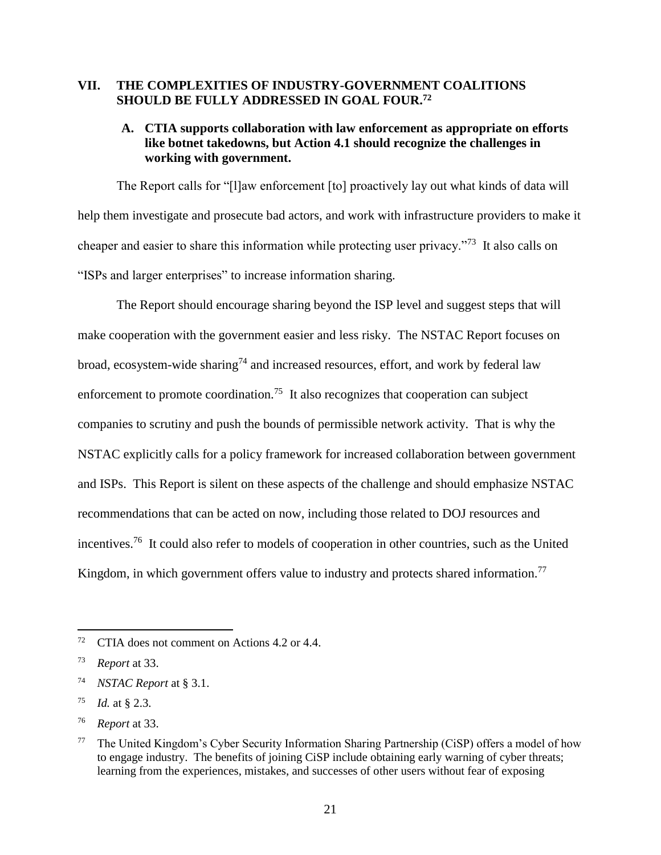### **VII. THE COMPLEXITIES OF INDUSTRY-GOVERNMENT COALITIONS SHOULD BE FULLY ADDRESSED IN GOAL FOUR. 72**

### **A. CTIA supports collaboration with law enforcement as appropriate on efforts like botnet takedowns, but Action 4.1 should recognize the challenges in working with government.**

The Report calls for "[l]aw enforcement [to] proactively lay out what kinds of data will help them investigate and prosecute bad actors, and work with infrastructure providers to make it cheaper and easier to share this information while protecting user privacy."<sup>73</sup> It also calls on "ISPs and larger enterprises" to increase information sharing.

The Report should encourage sharing beyond the ISP level and suggest steps that will make cooperation with the government easier and less risky. The NSTAC Report focuses on broad, ecosystem-wide sharing<sup>74</sup> and increased resources, effort, and work by federal law enforcement to promote coordination.<sup>75</sup> It also recognizes that cooperation can subject companies to scrutiny and push the bounds of permissible network activity. That is why the NSTAC explicitly calls for a policy framework for increased collaboration between government and ISPs. This Report is silent on these aspects of the challenge and should emphasize NSTAC recommendations that can be acted on now, including those related to DOJ resources and incentives.<sup>76</sup> It could also refer to models of cooperation in other countries, such as the United Kingdom, in which government offers value to industry and protects shared information.<sup>77</sup>

<sup>&</sup>lt;sup>72</sup> CTIA does not comment on Actions 4.2 or 4.4.

<sup>73</sup> *Report* at 33.

<sup>74</sup> *NSTAC Report* at § 3.1.

*Id.* at § 2.3.

<sup>76</sup> *Report* at 33.

<sup>77</sup> The United Kingdom's Cyber Security Information Sharing Partnership (CiSP) offers a model of how to engage industry. The benefits of joining CiSP include obtaining early warning of cyber threats; learning from the experiences, mistakes, and successes of other users without fear of exposing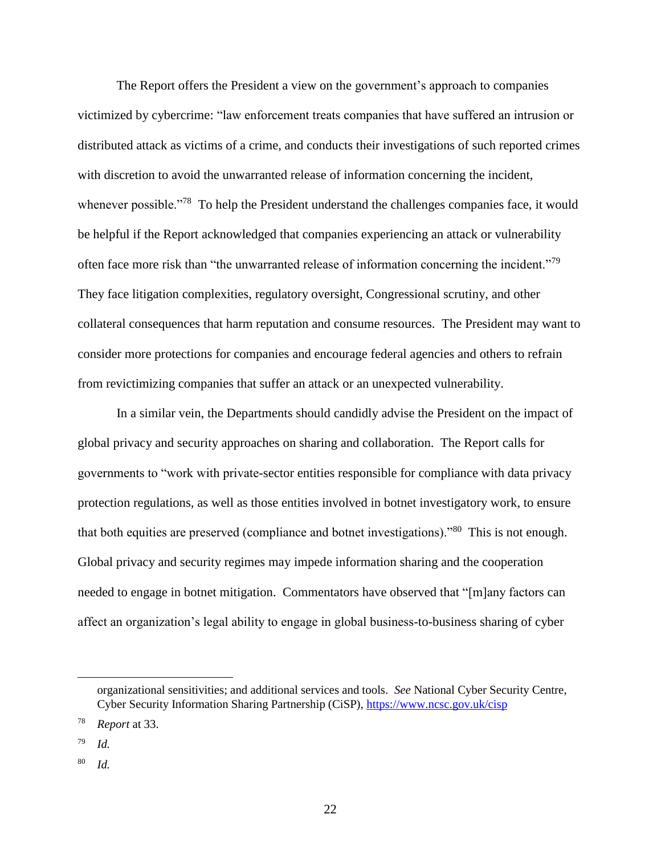The Report offers the President a view on the government's approach to companies victimized by cybercrime: "law enforcement treats companies that have suffered an intrusion or distributed attack as victims of a crime, and conducts their investigations of such reported crimes with discretion to avoid the unwarranted release of information concerning the incident, whenever possible."<sup>78</sup> To help the President understand the challenges companies face, it would be helpful if the Report acknowledged that companies experiencing an attack or vulnerability often face more risk than "the unwarranted release of information concerning the incident."<sup>79</sup> They face litigation complexities, regulatory oversight, Congressional scrutiny, and other collateral consequences that harm reputation and consume resources. The President may want to consider more protections for companies and encourage federal agencies and others to refrain from revictimizing companies that suffer an attack or an unexpected vulnerability.

In a similar vein, the Departments should candidly advise the President on the impact of global privacy and security approaches on sharing and collaboration. The Report calls for governments to "work with private-sector entities responsible for compliance with data privacy protection regulations, as well as those entities involved in botnet investigatory work, to ensure that both equities are preserved (compliance and botnet investigations)."<sup>80</sup> This is not enough. Global privacy and security regimes may impede information sharing and the cooperation needed to engage in botnet mitigation. Commentators have observed that "[m]any factors can affect an organization's legal ability to engage in global business-to-business sharing of cyber

organizational sensitivities; and additional services and tools. *See* National Cyber Security Centre, Cyber Security Information Sharing Partnership (CiSP),<https://www.ncsc.gov.uk/cisp>

<sup>78</sup> *Report* at 33.

<sup>79</sup> *Id.*

<sup>80</sup> *Id.*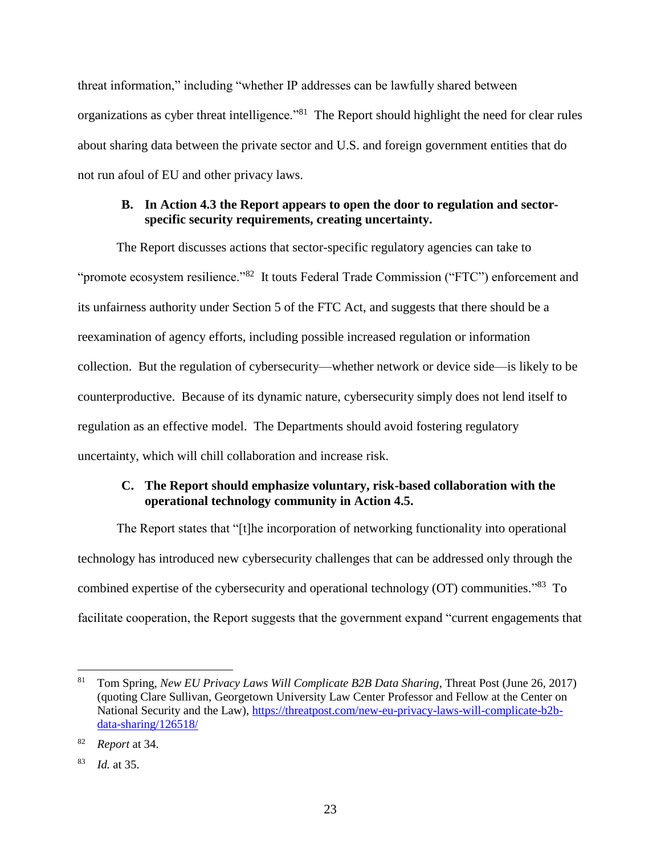threat information," including "whether IP addresses can be lawfully shared between organizations as cyber threat intelligence."<sup>81</sup> The Report should highlight the need for clear rules about sharing data between the private sector and U.S. and foreign government entities that do not run afoul of EU and other privacy laws.

## **B. In Action 4.3 the Report appears to open the door to regulation and sectorspecific security requirements, creating uncertainty.**

The Report discusses actions that sector-specific regulatory agencies can take to "promote ecosystem resilience."<sup>82</sup> It touts Federal Trade Commission ("FTC") enforcement and its unfairness authority under Section 5 of the FTC Act, and suggests that there should be a reexamination of agency efforts, including possible increased regulation or information collection. But the regulation of cybersecurity—whether network or device side—is likely to be counterproductive. Because of its dynamic nature, cybersecurity simply does not lend itself to regulation as an effective model. The Departments should avoid fostering regulatory uncertainty, which will chill collaboration and increase risk.

# **C. The Report should emphasize voluntary, risk-based collaboration with the operational technology community in Action 4.5.**

The Report states that "[t]he incorporation of networking functionality into operational technology has introduced new cybersecurity challenges that can be addressed only through the combined expertise of the cybersecurity and operational technology (OT) communities.<sup>88</sup> To facilitate cooperation, the Report suggests that the government expand "current engagements that

<sup>81</sup> Tom Spring, *New EU Privacy Laws Will Complicate B2B Data Sharing*, Threat Post (June 26, 2017) (quoting Clare Sullivan, Georgetown University Law Center Professor and Fellow at the Center on National Security and the Law), [https://threatpost.com/new-eu-privacy-laws-will-complicate-b2b](https://threatpost.com/new-eu-privacy-laws-will-complicate-b2b-data-sharing/126518/)[data-sharing/126518/](https://threatpost.com/new-eu-privacy-laws-will-complicate-b2b-data-sharing/126518/)

<sup>82</sup> *Report* at 34.

<sup>83</sup> *Id.* at 35.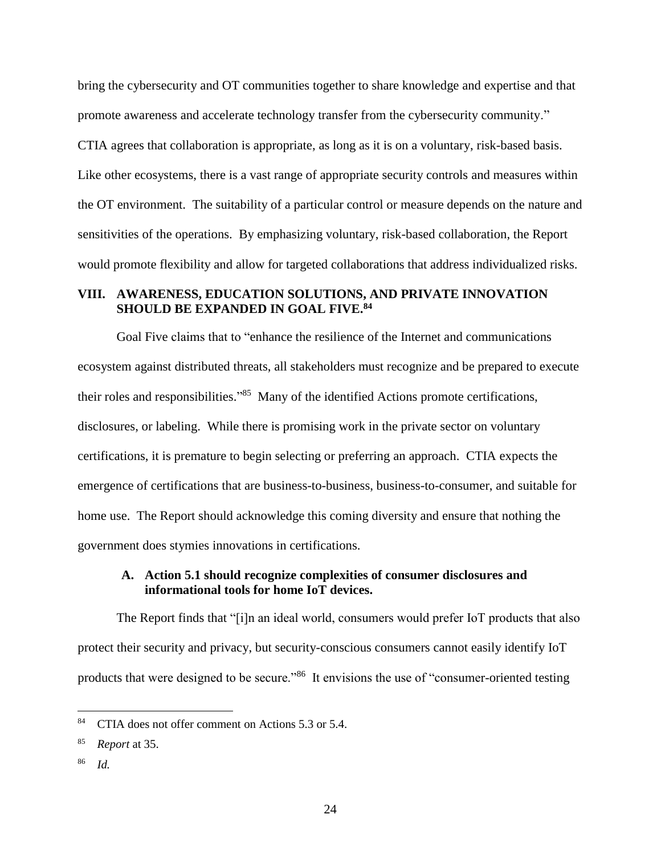bring the cybersecurity and OT communities together to share knowledge and expertise and that promote awareness and accelerate technology transfer from the cybersecurity community." CTIA agrees that collaboration is appropriate, as long as it is on a voluntary, risk-based basis. Like other ecosystems, there is a vast range of appropriate security controls and measures within the OT environment. The suitability of a particular control or measure depends on the nature and sensitivities of the operations. By emphasizing voluntary, risk-based collaboration, the Report would promote flexibility and allow for targeted collaborations that address individualized risks.

#### **VIII. AWARENESS, EDUCATION SOLUTIONS, AND PRIVATE INNOVATION SHOULD BE EXPANDED IN GOAL FIVE. 84**

Goal Five claims that to "enhance the resilience of the Internet and communications ecosystem against distributed threats, all stakeholders must recognize and be prepared to execute their roles and responsibilities."<sup>85</sup> Many of the identified Actions promote certifications, disclosures, or labeling. While there is promising work in the private sector on voluntary certifications, it is premature to begin selecting or preferring an approach. CTIA expects the emergence of certifications that are business-to-business, business-to-consumer, and suitable for home use. The Report should acknowledge this coming diversity and ensure that nothing the government does stymies innovations in certifications.

### **A. Action 5.1 should recognize complexities of consumer disclosures and informational tools for home IoT devices.**

The Report finds that "[i]n an ideal world, consumers would prefer IoT products that also protect their security and privacy, but security-conscious consumers cannot easily identify IoT products that were designed to be secure."<sup>86</sup> It envisions the use of "consumer-oriented testing

<sup>&</sup>lt;sup>84</sup> CTIA does not offer comment on Actions 5.3 or 5.4.

<sup>85</sup> *Report* at 35.

<sup>86</sup> *Id.*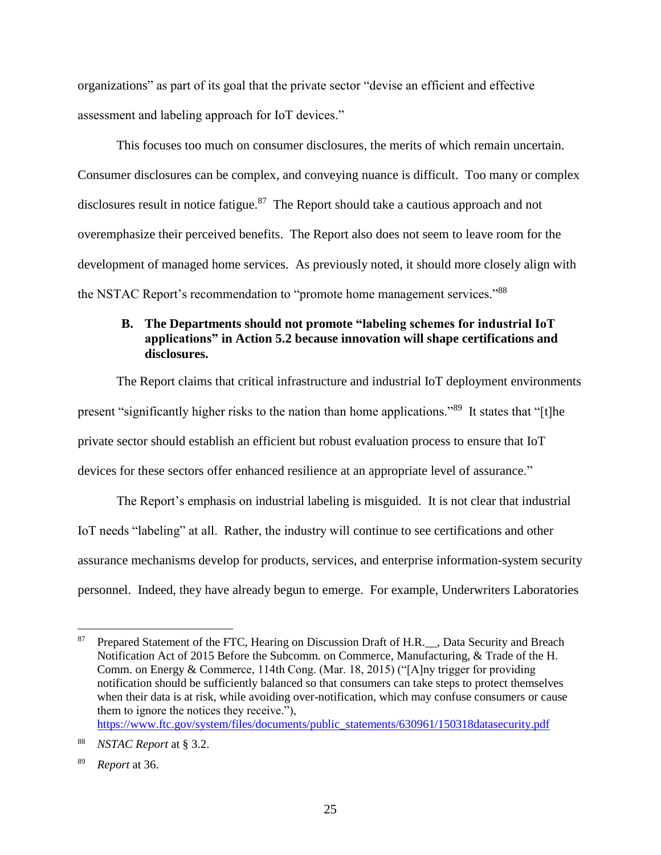organizations" as part of its goal that the private sector "devise an efficient and effective assessment and labeling approach for IoT devices."

This focuses too much on consumer disclosures, the merits of which remain uncertain. Consumer disclosures can be complex, and conveying nuance is difficult. Too many or complex disclosures result in notice fatigue.<sup>87</sup> The Report should take a cautious approach and not overemphasize their perceived benefits. The Report also does not seem to leave room for the development of managed home services. As previously noted, it should more closely align with the NSTAC Report's recommendation to "promote home management services."<sup>88</sup>

### **B. The Departments should not promote "labeling schemes for industrial IoT applications" in Action 5.2 because innovation will shape certifications and disclosures.**

The Report claims that critical infrastructure and industrial IoT deployment environments present "significantly higher risks to the nation than home applications."<sup>89</sup> It states that "[t]he private sector should establish an efficient but robust evaluation process to ensure that IoT devices for these sectors offer enhanced resilience at an appropriate level of assurance."

The Report's emphasis on industrial labeling is misguided. It is not clear that industrial IoT needs "labeling" at all. Rather, the industry will continue to see certifications and other assurance mechanisms develop for products, services, and enterprise information-system security personnel. Indeed, they have already begun to emerge. For example, Underwriters Laboratories

<sup>&</sup>lt;sup>87</sup> Prepared Statement of the FTC, Hearing on Discussion Draft of H.R.<sub>15</sub>, Data Security and Breach Notification Act of 2015 Before the Subcomm. on Commerce, Manufacturing, & Trade of the H. Comm. on Energy & Commerce, 114th Cong. (Mar. 18, 2015) ("[A]ny trigger for providing notification should be sufficiently balanced so that consumers can take steps to protect themselves when their data is at risk, while avoiding over-notification, which may confuse consumers or cause them to ignore the notices they receive."), [https://www.ftc.gov/system/files/documents/public\\_statements/630961/150318datasecurity.pdf](https://www.ftc.gov/system/files/documents/public_statements/630961/150318datasecurity.pdf)

<sup>88</sup> *NSTAC Report* at § 3.2.

<sup>89</sup> *Report* at 36.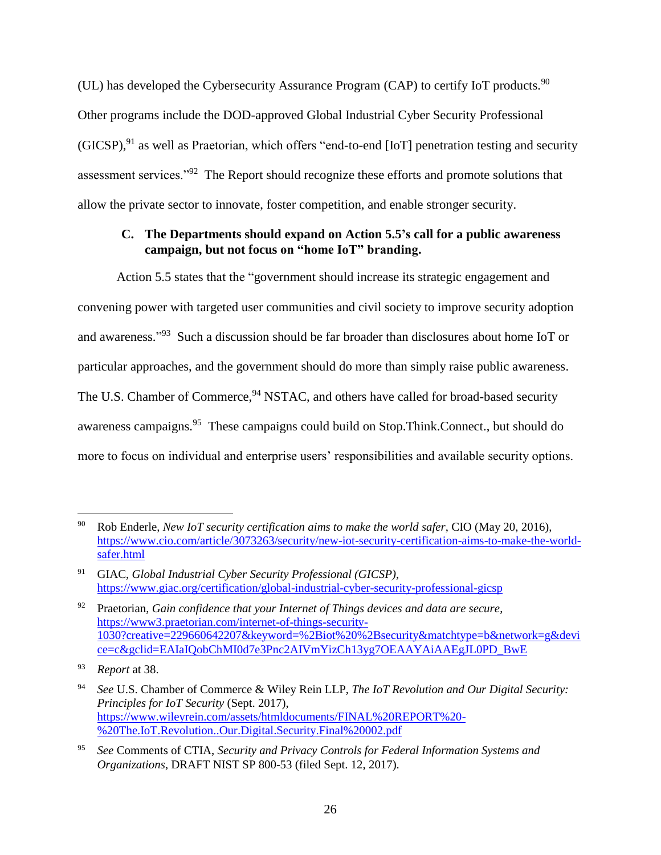(UL) has developed the Cybersecurity Assurance Program (CAP) to certify IoT products. $90$ Other programs include the DOD-approved Global Industrial Cyber Security Professional (GICSP),<sup>91</sup> as well as Praetorian, which offers "end-to-end [IoT] penetration testing and security assessment services."<sup>92</sup> The Report should recognize these efforts and promote solutions that allow the private sector to innovate, foster competition, and enable stronger security.

## **C. The Departments should expand on Action 5.5's call for a public awareness campaign, but not focus on "home IoT" branding.**

Action 5.5 states that the "government should increase its strategic engagement and convening power with targeted user communities and civil society to improve security adoption and awareness."<sup>93</sup> Such a discussion should be far broader than disclosures about home IoT or particular approaches, and the government should do more than simply raise public awareness. The U.S. Chamber of Commerce, <sup>94</sup> NSTAC, and others have called for broad-based security awareness campaigns.<sup>95</sup> These campaigns could build on Stop.Think.Connect., but should do more to focus on individual and enterprise users' responsibilities and available security options.

 $\overline{a}$ <sup>90</sup> Rob Enderle, *New IoT security certification aims to make the world safer*, CIO (May 20, 2016), [https://www.cio.com/article/3073263/security/new-iot-security-certification-aims-to-make-the-world](https://www.cio.com/article/3073263/security/new-iot-security-certification-aims-to-make-the-world-safer.html)[safer.html](https://www.cio.com/article/3073263/security/new-iot-security-certification-aims-to-make-the-world-safer.html)

<sup>91</sup> GIAC, *Global Industrial Cyber Security Professional (GICSP)*, <https://www.giac.org/certification/global-industrial-cyber-security-professional-gicsp>

<sup>92</sup> Praetorian, *Gain confidence that your Internet of Things devices and data are secure*, [https://www3.praetorian.com/internet-of-things-security-](https://www3.praetorian.com/internet-of-things-security-1030?creative=229660642207&keyword=%2Biot%20%2Bsecurity&matchtype=b&network=g&device=c&gclid=EAIaIQobChMI0d7e3Pnc2AIVmYizCh13yg7OEAAYAiAAEgJL0PD_BwE)[1030?creative=229660642207&keyword=%2Biot%20%2Bsecurity&matchtype=b&network=g&devi](https://www3.praetorian.com/internet-of-things-security-1030?creative=229660642207&keyword=%2Biot%20%2Bsecurity&matchtype=b&network=g&device=c&gclid=EAIaIQobChMI0d7e3Pnc2AIVmYizCh13yg7OEAAYAiAAEgJL0PD_BwE) [ce=c&gclid=EAIaIQobChMI0d7e3Pnc2AIVmYizCh13yg7OEAAYAiAAEgJL0PD\\_BwE](https://www3.praetorian.com/internet-of-things-security-1030?creative=229660642207&keyword=%2Biot%20%2Bsecurity&matchtype=b&network=g&device=c&gclid=EAIaIQobChMI0d7e3Pnc2AIVmYizCh13yg7OEAAYAiAAEgJL0PD_BwE)

<sup>93</sup> *Report* at 38.

<sup>94</sup> *See* U.S. Chamber of Commerce & Wiley Rein LLP, *The IoT Revolution and Our Digital Security: Principles for IoT Security* (Sept. 2017), [https://www.wileyrein.com/assets/htmldocuments/FINAL%20REPORT%20-](https://www.wileyrein.com/assets/htmldocuments/FINAL%20REPORT%20-%20The.IoT.Revolution..Our.Digital.Security.Final%20002.pdf) [%20The.IoT.Revolution..Our.Digital.Security.Final%20002.pdf](https://www.wileyrein.com/assets/htmldocuments/FINAL%20REPORT%20-%20The.IoT.Revolution..Our.Digital.Security.Final%20002.pdf)

<sup>95</sup> *See* Comments of CTIA, *Security and Privacy Controls for Federal Information Systems and Organizations*, DRAFT NIST SP 800-53 (filed Sept. 12, 2017).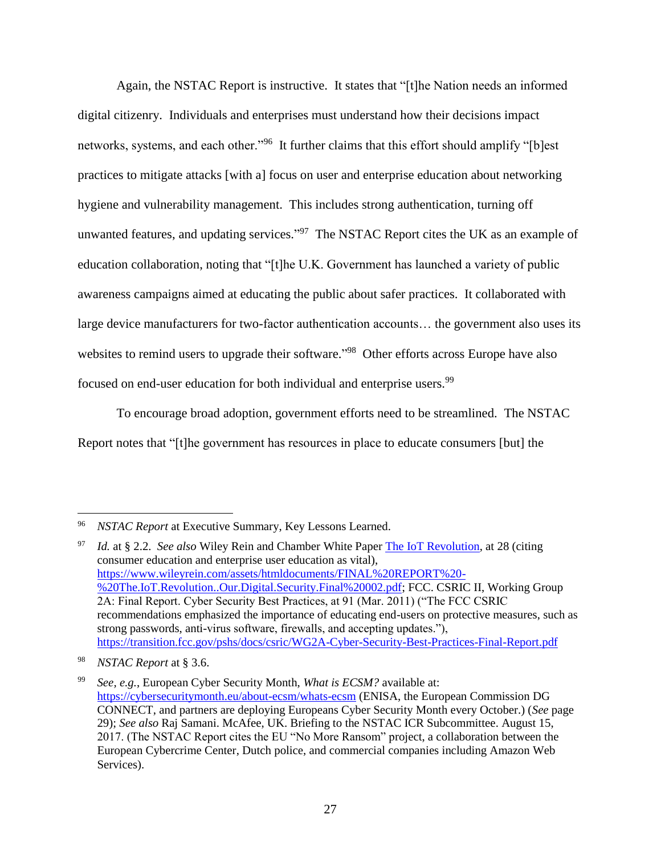Again, the NSTAC Report is instructive. It states that "[t]he Nation needs an informed digital citizenry. Individuals and enterprises must understand how their decisions impact networks, systems, and each other."<sup>96</sup> It further claims that this effort should amplify "[b]est practices to mitigate attacks [with a] focus on user and enterprise education about networking hygiene and vulnerability management. This includes strong authentication, turning off unwanted features, and updating services."<sup>97</sup> The NSTAC Report cites the UK as an example of education collaboration, noting that "[t]he U.K. Government has launched a variety of public awareness campaigns aimed at educating the public about safer practices. It collaborated with large device manufacturers for two-factor authentication accounts… the government also uses its websites to remind users to upgrade their software."<sup>98</sup> Other efforts across Europe have also focused on end-user education for both individual and enterprise users.<sup>99</sup>

To encourage broad adoption, government efforts need to be streamlined. The NSTAC Report notes that "[t]he government has resources in place to educate consumers [but] the

<sup>96</sup> *NSTAC Report* at Executive Summary, Key Lessons Learned.

<sup>97</sup> *Id.* at § 2.2. *See also* Wiley Rein and Chamber White Paper [The IoT Revolution,](https://www.wileyrein.com/assets/htmldocuments/FINAL%20REPORT%20-%20The.IoT.Revolution..Our.Digital.Security.Final%20002.pdf) at 28 (citing consumer education and enterprise user education as vital), [https://www.wileyrein.com/assets/htmldocuments/FINAL%20REPORT%20-](https://www.wileyrein.com/assets/htmldocuments/FINAL%20REPORT%20-%20The.IoT.Revolution..Our.Digital.Security.Final%20002.pdf) [%20The.IoT.Revolution..Our.Digital.Security.Final%20002.pdf;](https://www.wileyrein.com/assets/htmldocuments/FINAL%20REPORT%20-%20The.IoT.Revolution..Our.Digital.Security.Final%20002.pdf) FCC. CSRIC II, Working Group 2A: Final Report. Cyber Security Best Practices, at 91 (Mar. 2011) ("The FCC CSRIC recommendations emphasized the importance of educating end-users on protective measures, such as strong passwords, anti-virus software, firewalls, and accepting updates."), <https://transition.fcc.gov/pshs/docs/csric/WG2A-Cyber-Security-Best-Practices-Final-Report.pdf>

<sup>98</sup> *NSTAC Report* at § 3.6.

<sup>99</sup> *See, e.g.*, European Cyber Security Month, *What is ECSM?* available at: <https://cybersecuritymonth.eu/about-ecsm/whats-ecsm> (ENISA, the European Commission DG CONNECT, and partners are deploying Europeans Cyber Security Month every October.) (*See* page 29); *See also* Raj Samani. McAfee, UK. Briefing to the NSTAC ICR Subcommittee. August 15, 2017. (The NSTAC Report cites the EU "No More Ransom" project, a collaboration between the European Cybercrime Center, Dutch police, and commercial companies including Amazon Web Services).